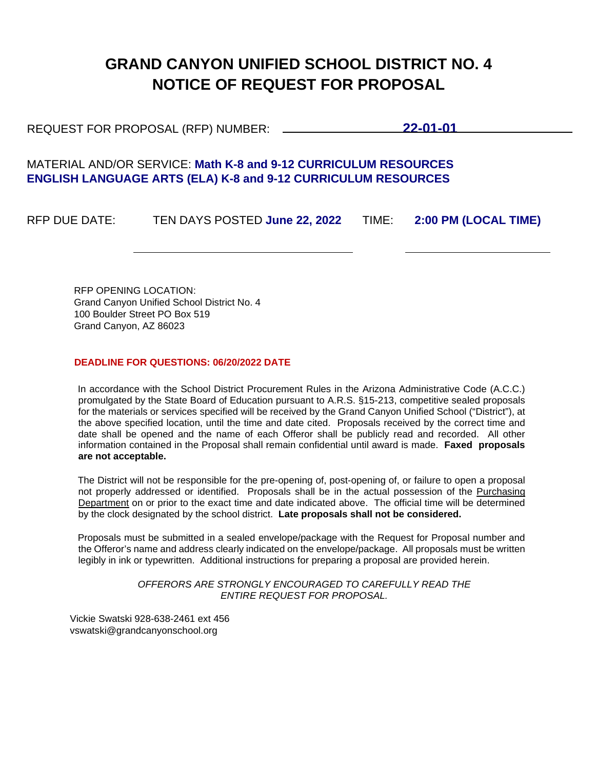# **GRAND CANYON UNIFIED SCHOOL DISTRICT NO. 4 NOTICE OF REQUEST FOR PROPOSAL**

REQUEST FOR PROPOSAL (RFP) NUMBER: **22-01-01**

# MATERIAL AND/OR SERVICE: **Math K-8 and 9-12 CURRICULUM RESOURCES ENGLISH LANGUAGE ARTS (ELA) K-8 and 9-12 CURRICULUM RESOURCES**

RFP DUE DATE: TEN DAYS POSTED **June 22, 2022** TIME: **2:00 PM (LOCAL TIME)** 

RFP OPENING LOCATION: Grand Canyon Unified School District No. 4 100 Boulder Street PO Box 519 Grand Canyon, AZ 86023

# **DEADLINE FOR QUESTIONS: 06/20/2022 DATE**

In accordance with the School District Procurement Rules in the Arizona Administrative Code (A.C.C.) promulgated by the State Board of Education pursuant to A.R.S. §15-213, competitive sealed proposals for the materials or services specified will be received by the Grand Canyon Unified School ("District"), at the above specified location, until the time and date cited. Proposals received by the correct time and date shall be opened and the name of each Offeror shall be publicly read and recorded. All other information contained in the Proposal shall remain confidential until award is made. **Faxed proposals are not acceptable.**

The District will not be responsible for the pre-opening of, post-opening of, or failure to open a proposal not properly addressed or identified. Proposals shall be in the actual possession of the Purchasing Department on or prior to the exact time and date indicated above. The official time will be determined by the clock designated by the school district. **Late proposals shall not be considered.** 

Proposals must be submitted in a sealed envelope/package with the Request for Proposal number and the Offeror's name and address clearly indicated on the envelope/package. All proposals must be written legibly in ink or typewritten. Additional instructions for preparing a proposal are provided herein.

> *OFFERORS ARE STRONGLY ENCOURAGED TO CAREFULLY READ THE ENTIRE REQUEST FOR PROPOSAL.*

Vickie Swatski 928-638-2461 ext 456 vswatski@grandcanyonschool.org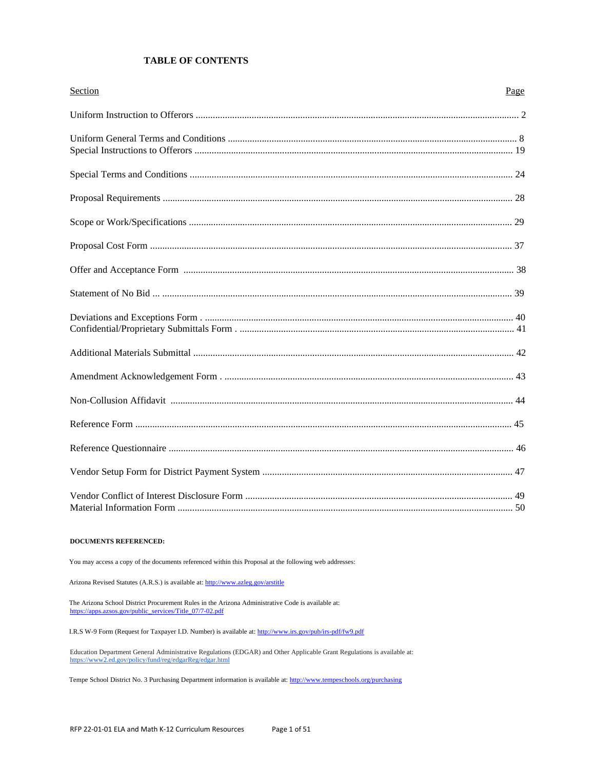# **TABLE OF CONTENTS**

| Section | Page |
|---------|------|
|         |      |
|         |      |
|         |      |
|         |      |
|         |      |
|         |      |
|         |      |
|         |      |
|         |      |
|         |      |
|         |      |
|         |      |
|         |      |
|         |      |
|         |      |
|         |      |

#### **DOCUMENTS REFERENCED:**

You may access a copy of the documents referenced within this Proposal at the following web addresses:

Arizona Revised Statutes (A.R.S.) is available at: http://www.azleg.gov/arstitle

The Arizona School District Procurement Rules in the Arizona Administrative Code is available at: https://apps.azsos.gov/public\_services/Title\_07/7-02.pdf

I.R.S W-9 Form (Request for Taxpayer I.D. Number) is available at: http://www.irs.gov/pub/irs-pdf/fw9.pdf

Education Department General Administrative Regulations (EDGAR) and Other Applicable Grant Regulations is available at:<br>https://www2.ed.gov/policy/fund/reg/edgarReg/edgar.html

Tempe School District No. 3 Purchasing Department information is available at: http://www.tempeschools.org/purchasing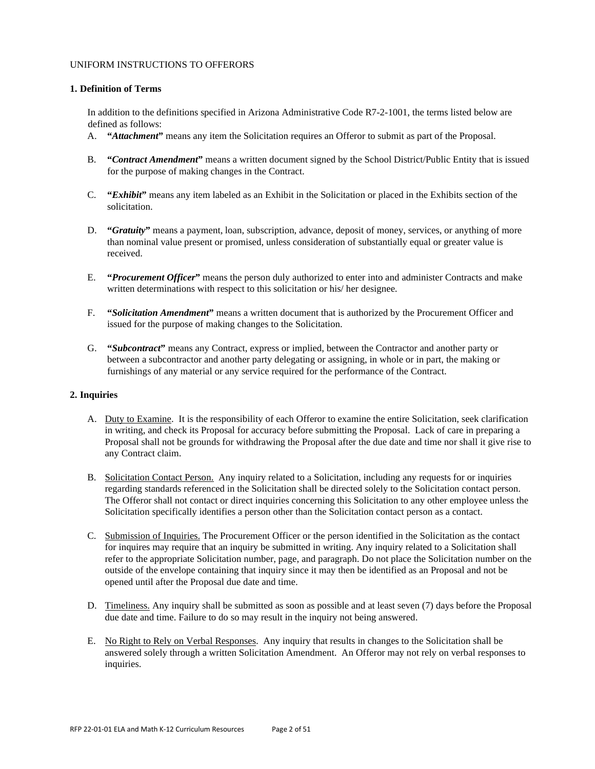### UNIFORM INSTRUCTIONS TO OFFERORS

# **1. Definition of Terms**

In addition to the definitions specified in Arizona Administrative Code R7-2-1001, the terms listed below are defined as follows:

- A. **"***Attachment***"** means any item the Solicitation requires an Offeror to submit as part of the Proposal.
- B. **"***Contract Amendment***"** means a written document signed by the School District/Public Entity that is issued for the purpose of making changes in the Contract.
- C. **"***Exhibit***"** means any item labeled as an Exhibit in the Solicitation or placed in the Exhibits section of the solicitation.
- D. **"***Gratuity***"** means a payment, loan, subscription, advance, deposit of money, services, or anything of more than nominal value present or promised, unless consideration of substantially equal or greater value is received.
- E. **"***Procurement Officer***"** means the person duly authorized to enter into and administer Contracts and make written determinations with respect to this solicitation or his/ her designee.
- F. **"***Solicitation Amendment***"** means a written document that is authorized by the Procurement Officer and issued for the purpose of making changes to the Solicitation.
- G. **"***Subcontract***"** means any Contract, express or implied, between the Contractor and another party or between a subcontractor and another party delegating or assigning, in whole or in part, the making or furnishings of any material or any service required for the performance of the Contract.

# **2. Inquiries**

- A. Duty to Examine. It is the responsibility of each Offeror to examine the entire Solicitation, seek clarification in writing, and check its Proposal for accuracy before submitting the Proposal. Lack of care in preparing a Proposal shall not be grounds for withdrawing the Proposal after the due date and time nor shall it give rise to any Contract claim.
- B. Solicitation Contact Person. Any inquiry related to a Solicitation, including any requests for or inquiries regarding standards referenced in the Solicitation shall be directed solely to the Solicitation contact person. The Offeror shall not contact or direct inquiries concerning this Solicitation to any other employee unless the Solicitation specifically identifies a person other than the Solicitation contact person as a contact.
- C. Submission of Inquiries. The Procurement Officer or the person identified in the Solicitation as the contact for inquires may require that an inquiry be submitted in writing. Any inquiry related to a Solicitation shall refer to the appropriate Solicitation number, page, and paragraph. Do not place the Solicitation number on the outside of the envelope containing that inquiry since it may then be identified as an Proposal and not be opened until after the Proposal due date and time.
- D. Timeliness. Any inquiry shall be submitted as soon as possible and at least seven (7) days before the Proposal due date and time. Failure to do so may result in the inquiry not being answered.
- E. No Right to Rely on Verbal Responses. Any inquiry that results in changes to the Solicitation shall be answered solely through a written Solicitation Amendment. An Offeror may not rely on verbal responses to inquiries.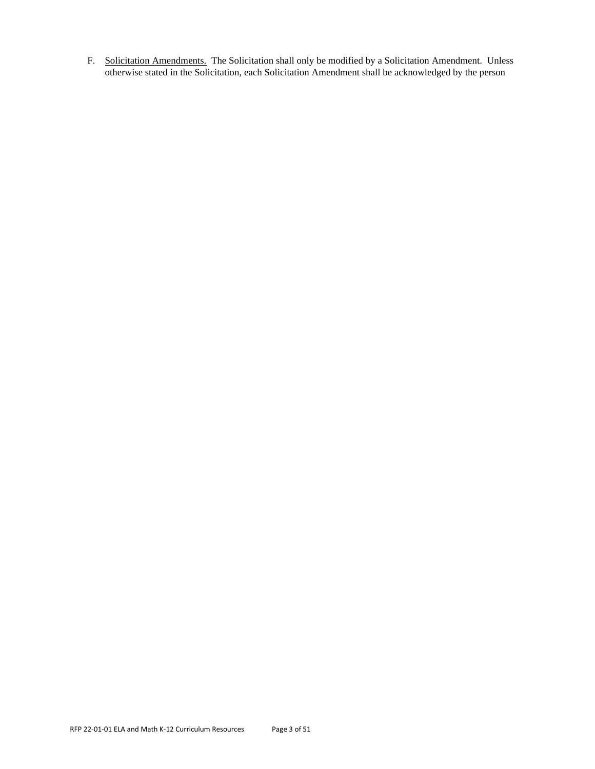F. Solicitation Amendments. The Solicitation shall only be modified by a Solicitation Amendment. Unless otherwise stated in the Solicitation, each Solicitation Amendment shall be acknowledged by the person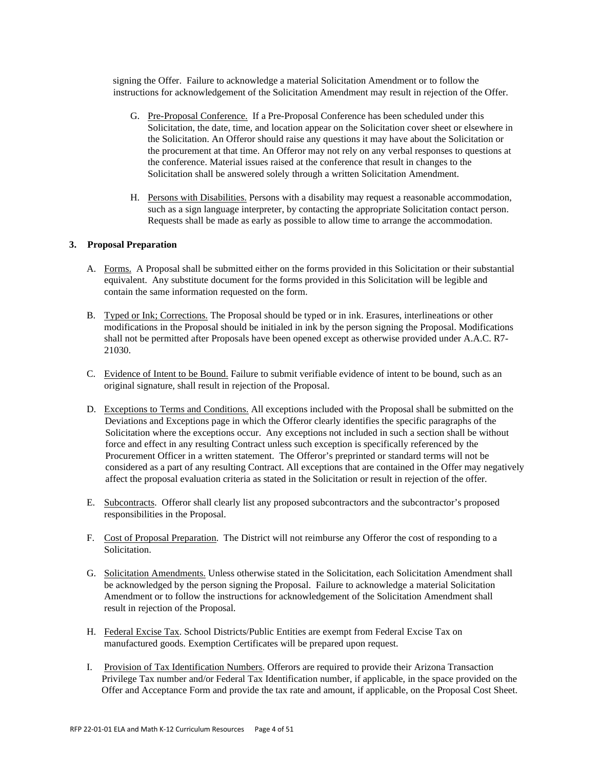signing the Offer. Failure to acknowledge a material Solicitation Amendment or to follow the instructions for acknowledgement of the Solicitation Amendment may result in rejection of the Offer.

- G. Pre-Proposal Conference. If a Pre-Proposal Conference has been scheduled under this Solicitation, the date, time, and location appear on the Solicitation cover sheet or elsewhere in the Solicitation. An Offeror should raise any questions it may have about the Solicitation or the procurement at that time. An Offeror may not rely on any verbal responses to questions at the conference. Material issues raised at the conference that result in changes to the Solicitation shall be answered solely through a written Solicitation Amendment.
- H. Persons with Disabilities. Persons with a disability may request a reasonable accommodation, such as a sign language interpreter, by contacting the appropriate Solicitation contact person. Requests shall be made as early as possible to allow time to arrange the accommodation.

# **3. Proposal Preparation**

- A. Forms. A Proposal shall be submitted either on the forms provided in this Solicitation or their substantial equivalent. Any substitute document for the forms provided in this Solicitation will be legible and contain the same information requested on the form.
- B. Typed or Ink; Corrections. The Proposal should be typed or in ink. Erasures, interlineations or other modifications in the Proposal should be initialed in ink by the person signing the Proposal. Modifications shall not be permitted after Proposals have been opened except as otherwise provided under A.A.C. R7- 21030.
- C. Evidence of Intent to be Bound. Failure to submit verifiable evidence of intent to be bound, such as an original signature, shall result in rejection of the Proposal.
- D. Exceptions to Terms and Conditions. All exceptions included with the Proposal shall be submitted on the Deviations and Exceptions page in which the Offeror clearly identifies the specific paragraphs of the Solicitation where the exceptions occur. Any exceptions not included in such a section shall be without force and effect in any resulting Contract unless such exception is specifically referenced by the Procurement Officer in a written statement. The Offeror's preprinted or standard terms will not be considered as a part of any resulting Contract. All exceptions that are contained in the Offer may negatively affect the proposal evaluation criteria as stated in the Solicitation or result in rejection of the offer.
- E. Subcontracts. Offeror shall clearly list any proposed subcontractors and the subcontractor's proposed responsibilities in the Proposal.
- F. Cost of Proposal Preparation. The District will not reimburse any Offeror the cost of responding to a Solicitation.
- G. Solicitation Amendments. Unless otherwise stated in the Solicitation, each Solicitation Amendment shall be acknowledged by the person signing the Proposal. Failure to acknowledge a material Solicitation Amendment or to follow the instructions for acknowledgement of the Solicitation Amendment shall result in rejection of the Proposal.
- H. Federal Excise Tax. School Districts/Public Entities are exempt from Federal Excise Tax on manufactured goods. Exemption Certificates will be prepared upon request.
- I. Provision of Tax Identification Numbers. Offerors are required to provide their Arizona Transaction Privilege Tax number and/or Federal Tax Identification number, if applicable, in the space provided on the Offer and Acceptance Form and provide the tax rate and amount, if applicable, on the Proposal Cost Sheet.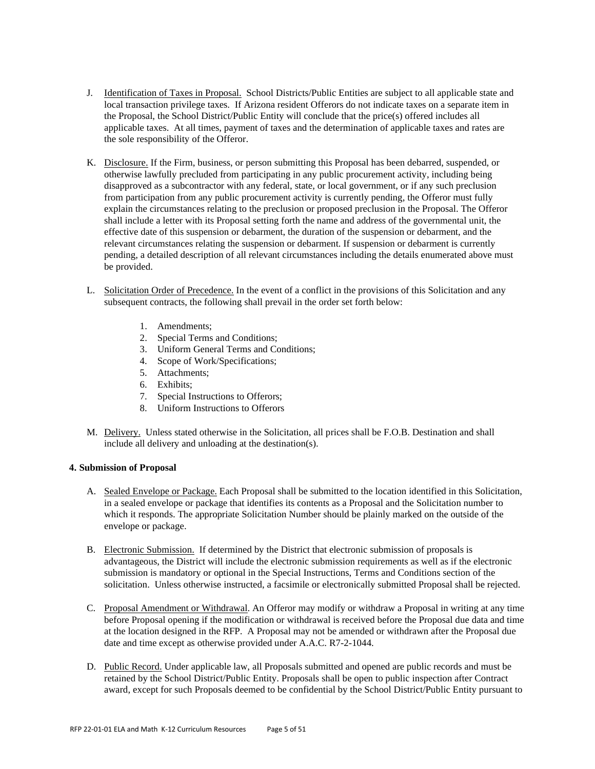- J. Identification of Taxes in Proposal. School Districts/Public Entities are subject to all applicable state and local transaction privilege taxes. If Arizona resident Offerors do not indicate taxes on a separate item in the Proposal, the School District/Public Entity will conclude that the price(s) offered includes all applicable taxes. At all times, payment of taxes and the determination of applicable taxes and rates are the sole responsibility of the Offeror.
- K. Disclosure. If the Firm, business, or person submitting this Proposal has been debarred, suspended, or otherwise lawfully precluded from participating in any public procurement activity, including being disapproved as a subcontractor with any federal, state, or local government, or if any such preclusion from participation from any public procurement activity is currently pending, the Offeror must fully explain the circumstances relating to the preclusion or proposed preclusion in the Proposal. The Offeror shall include a letter with its Proposal setting forth the name and address of the governmental unit, the effective date of this suspension or debarment, the duration of the suspension or debarment, and the relevant circumstances relating the suspension or debarment. If suspension or debarment is currently pending, a detailed description of all relevant circumstances including the details enumerated above must be provided.
- L. Solicitation Order of Precedence. In the event of a conflict in the provisions of this Solicitation and any subsequent contracts, the following shall prevail in the order set forth below:
	- 1. Amendments;
	- 2. Special Terms and Conditions;
	- 3. Uniform General Terms and Conditions;
	- 4. Scope of Work/Specifications;
	- 5. Attachments;
	- 6. Exhibits;
	- 7. Special Instructions to Offerors;
	- 8. Uniform Instructions to Offerors
- M. Delivery. Unless stated otherwise in the Solicitation, all prices shall be F.O.B. Destination and shall include all delivery and unloading at the destination(s).

# **4. Submission of Proposal**

- A. Sealed Envelope or Package. Each Proposal shall be submitted to the location identified in this Solicitation, in a sealed envelope or package that identifies its contents as a Proposal and the Solicitation number to which it responds. The appropriate Solicitation Number should be plainly marked on the outside of the envelope or package.
- B. Electronic Submission. If determined by the District that electronic submission of proposals is advantageous, the District will include the electronic submission requirements as well as if the electronic submission is mandatory or optional in the Special Instructions, Terms and Conditions section of the solicitation. Unless otherwise instructed, a facsimile or electronically submitted Proposal shall be rejected.
- C. Proposal Amendment or Withdrawal. An Offeror may modify or withdraw a Proposal in writing at any time before Proposal opening if the modification or withdrawal is received before the Proposal due data and time at the location designed in the RFP. A Proposal may not be amended or withdrawn after the Proposal due date and time except as otherwise provided under A.A.C. R7-2-1044.
- D. Public Record. Under applicable law, all Proposals submitted and opened are public records and must be retained by the School District/Public Entity. Proposals shall be open to public inspection after Contract award, except for such Proposals deemed to be confidential by the School District/Public Entity pursuant to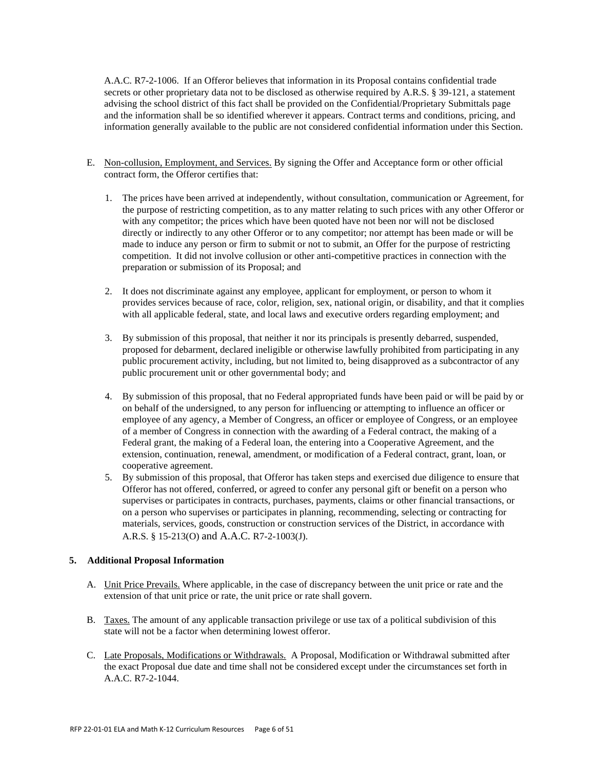A.A.C. R7-2-1006. If an Offeror believes that information in its Proposal contains confidential trade secrets or other proprietary data not to be disclosed as otherwise required by A.R.S. § 39-121, a statement advising the school district of this fact shall be provided on the Confidential/Proprietary Submittals page and the information shall be so identified wherever it appears. Contract terms and conditions, pricing, and information generally available to the public are not considered confidential information under this Section.

- E. Non-collusion, Employment, and Services. By signing the Offer and Acceptance form or other official contract form, the Offeror certifies that:
	- 1. The prices have been arrived at independently, without consultation, communication or Agreement, for the purpose of restricting competition, as to any matter relating to such prices with any other Offeror or with any competitor; the prices which have been quoted have not been nor will not be disclosed directly or indirectly to any other Offeror or to any competitor; nor attempt has been made or will be made to induce any person or firm to submit or not to submit, an Offer for the purpose of restricting competition. It did not involve collusion or other anti-competitive practices in connection with the preparation or submission of its Proposal; and
	- 2. It does not discriminate against any employee, applicant for employment, or person to whom it provides services because of race, color, religion, sex, national origin, or disability, and that it complies with all applicable federal, state, and local laws and executive orders regarding employment; and
	- 3. By submission of this proposal, that neither it nor its principals is presently debarred, suspended, proposed for debarment, declared ineligible or otherwise lawfully prohibited from participating in any public procurement activity, including, but not limited to, being disapproved as a subcontractor of any public procurement unit or other governmental body; and
	- 4. By submission of this proposal, that no Federal appropriated funds have been paid or will be paid by or on behalf of the undersigned, to any person for influencing or attempting to influence an officer or employee of any agency, a Member of Congress, an officer or employee of Congress, or an employee of a member of Congress in connection with the awarding of a Federal contract, the making of a Federal grant, the making of a Federal loan, the entering into a Cooperative Agreement, and the extension, continuation, renewal, amendment, or modification of a Federal contract, grant, loan, or cooperative agreement.
	- 5. By submission of this proposal, that Offeror has taken steps and exercised due diligence to ensure that Offeror has not offered, conferred, or agreed to confer any personal gift or benefit on a person who supervises or participates in contracts, purchases, payments, claims or other financial transactions, or on a person who supervises or participates in planning, recommending, selecting or contracting for materials, services, goods, construction or construction services of the District, in accordance with A.R.S. § 15-213(O) and A.A.C. R7-2-1003(J).

# **5. Additional Proposal Information**

- A. Unit Price Prevails. Where applicable, in the case of discrepancy between the unit price or rate and the extension of that unit price or rate, the unit price or rate shall govern.
- B. Taxes. The amount of any applicable transaction privilege or use tax of a political subdivision of this state will not be a factor when determining lowest offeror.
- C. Late Proposals, Modifications or Withdrawals. A Proposal, Modification or Withdrawal submitted after the exact Proposal due date and time shall not be considered except under the circumstances set forth in A.A.C. R7-2-1044.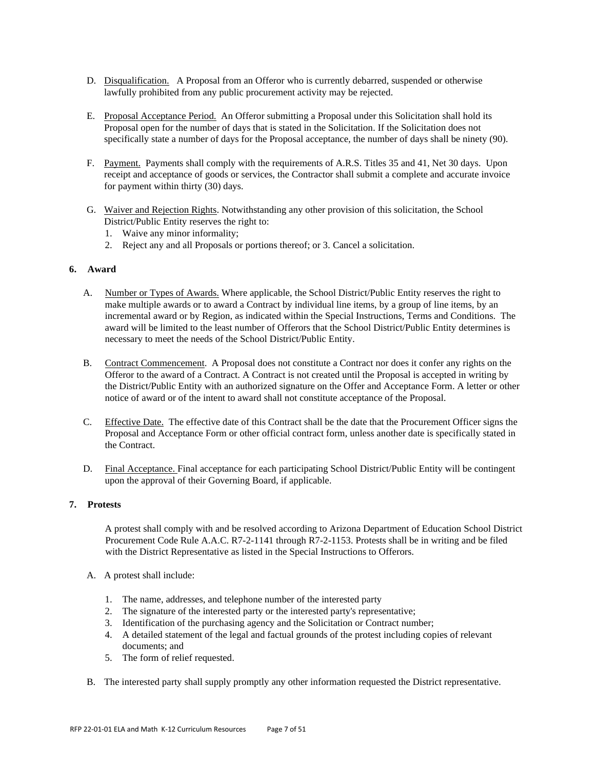- D. Disqualification. A Proposal from an Offeror who is currently debarred, suspended or otherwise lawfully prohibited from any public procurement activity may be rejected.
- E. Proposal Acceptance Period. An Offeror submitting a Proposal under this Solicitation shall hold its Proposal open for the number of days that is stated in the Solicitation. If the Solicitation does not specifically state a number of days for the Proposal acceptance, the number of days shall be ninety (90).
- F. Payment. Payments shall comply with the requirements of A.R.S. Titles 35 and 41, Net 30 days. Upon receipt and acceptance of goods or services, the Contractor shall submit a complete and accurate invoice for payment within thirty (30) days.
- G. Waiver and Rejection Rights. Notwithstanding any other provision of this solicitation, the School District/Public Entity reserves the right to:
	- 1. Waive any minor informality;
	- 2. Reject any and all Proposals or portions thereof; or 3. Cancel a solicitation.

# **6. Award**

- A. Number or Types of Awards. Where applicable, the School District/Public Entity reserves the right to make multiple awards or to award a Contract by individual line items, by a group of line items, by an incremental award or by Region, as indicated within the Special Instructions, Terms and Conditions. The award will be limited to the least number of Offerors that the School District/Public Entity determines is necessary to meet the needs of the School District/Public Entity.
- B. Contract Commencement. A Proposal does not constitute a Contract nor does it confer any rights on the Offeror to the award of a Contract. A Contract is not created until the Proposal is accepted in writing by the District/Public Entity with an authorized signature on the Offer and Acceptance Form. A letter or other notice of award or of the intent to award shall not constitute acceptance of the Proposal.
- C. Effective Date. The effective date of this Contract shall be the date that the Procurement Officer signs the Proposal and Acceptance Form or other official contract form, unless another date is specifically stated in the Contract.
- D. Final Acceptance. Final acceptance for each participating School District/Public Entity will be contingent upon the approval of their Governing Board, if applicable.

#### **7. Protests**

A protest shall comply with and be resolved according to Arizona Department of Education School District Procurement Code Rule A.A.C. R7-2-1141 through R7-2-1153. Protests shall be in writing and be filed with the District Representative as listed in the Special Instructions to Offerors.

- A. A protest shall include:
	- 1. The name, addresses, and telephone number of the interested party
	- 2. The signature of the interested party or the interested party's representative;
	- 3. Identification of the purchasing agency and the Solicitation or Contract number;
	- 4. A detailed statement of the legal and factual grounds of the protest including copies of relevant documents; and
	- 5. The form of relief requested.
- B. The interested party shall supply promptly any other information requested the District representative.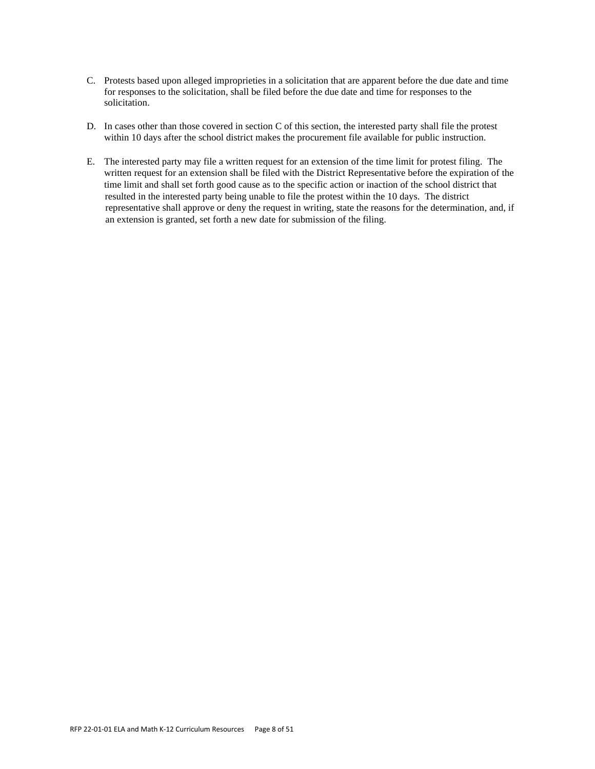- C. Protests based upon alleged improprieties in a solicitation that are apparent before the due date and time for responses to the solicitation, shall be filed before the due date and time for responses to the solicitation.
- D. In cases other than those covered in section C of this section, the interested party shall file the protest within 10 days after the school district makes the procurement file available for public instruction.
- E. The interested party may file a written request for an extension of the time limit for protest filing. The written request for an extension shall be filed with the District Representative before the expiration of the time limit and shall set forth good cause as to the specific action or inaction of the school district that resulted in the interested party being unable to file the protest within the 10 days. The district representative shall approve or deny the request in writing, state the reasons for the determination, and, if an extension is granted, set forth a new date for submission of the filing.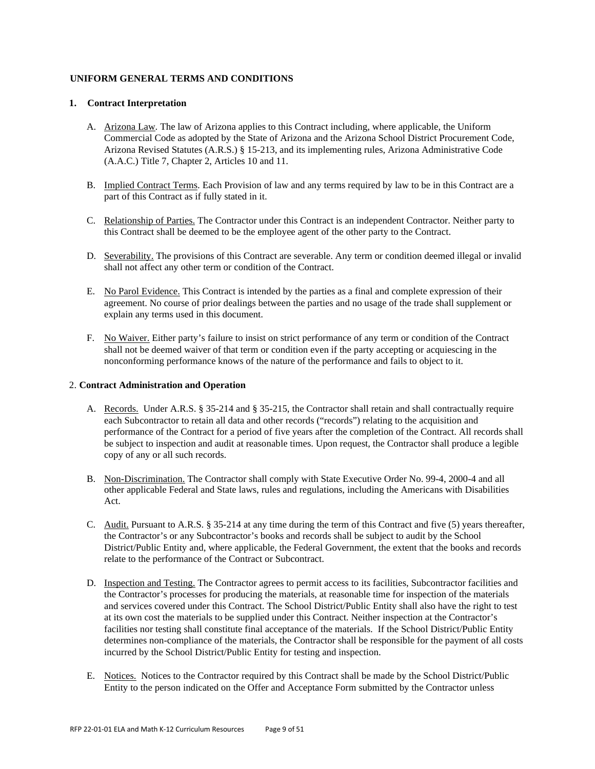# **UNIFORM GENERAL TERMS AND CONDITIONS**

#### **1. Contract Interpretation**

- A. Arizona Law. The law of Arizona applies to this Contract including, where applicable, the Uniform Commercial Code as adopted by the State of Arizona and the Arizona School District Procurement Code, Arizona Revised Statutes (A.R.S.) § 15-213, and its implementing rules, Arizona Administrative Code (A.A.C.) Title 7, Chapter 2, Articles 10 and 11.
- B. Implied Contract Terms. Each Provision of law and any terms required by law to be in this Contract are a part of this Contract as if fully stated in it.
- C. Relationship of Parties. The Contractor under this Contract is an independent Contractor. Neither party to this Contract shall be deemed to be the employee agent of the other party to the Contract.
- D. Severability. The provisions of this Contract are severable. Any term or condition deemed illegal or invalid shall not affect any other term or condition of the Contract.
- E. No Parol Evidence. This Contract is intended by the parties as a final and complete expression of their agreement. No course of prior dealings between the parties and no usage of the trade shall supplement or explain any terms used in this document.
- F. No Waiver. Either party's failure to insist on strict performance of any term or condition of the Contract shall not be deemed waiver of that term or condition even if the party accepting or acquiescing in the nonconforming performance knows of the nature of the performance and fails to object to it.

### 2. **Contract Administration and Operation**

- A. Records.Under A.R.S. § 35-214 and § 35-215, the Contractor shall retain and shall contractually require each Subcontractor to retain all data and other records ("records") relating to the acquisition and performance of the Contract for a period of five years after the completion of the Contract. All records shall be subject to inspection and audit at reasonable times. Upon request, the Contractor shall produce a legible copy of any or all such records.
- B. Non-Discrimination. The Contractor shall comply with State Executive Order No. 99-4, 2000-4 and all other applicable Federal and State laws, rules and regulations, including the Americans with Disabilities Act.
- C. Audit. Pursuant to A.R.S. § 35-214 at any time during the term of this Contract and five (5) years thereafter, the Contractor's or any Subcontractor's books and records shall be subject to audit by the School District/Public Entity and, where applicable, the Federal Government, the extent that the books and records relate to the performance of the Contract or Subcontract.
- D. Inspection and Testing. The Contractor agrees to permit access to its facilities, Subcontractor facilities and the Contractor's processes for producing the materials, at reasonable time for inspection of the materials and services covered under this Contract. The School District/Public Entity shall also have the right to test at its own cost the materials to be supplied under this Contract. Neither inspection at the Contractor's facilities nor testing shall constitute final acceptance of the materials. If the School District/Public Entity determines non-compliance of the materials, the Contractor shall be responsible for the payment of all costs incurred by the School District/Public Entity for testing and inspection.
- E. Notices. Notices to the Contractor required by this Contract shall be made by the School District/Public Entity to the person indicated on the Offer and Acceptance Form submitted by the Contractor unless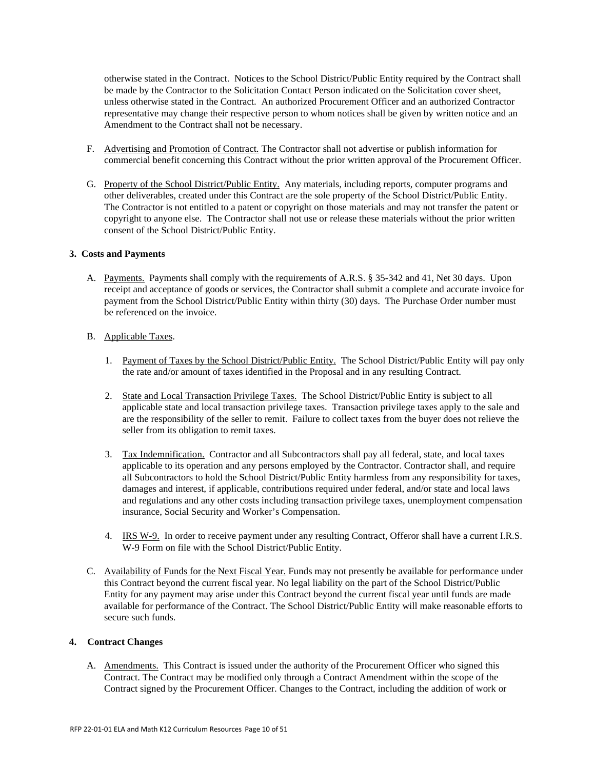otherwise stated in the Contract. Notices to the School District/Public Entity required by the Contract shall be made by the Contractor to the Solicitation Contact Person indicated on the Solicitation cover sheet, unless otherwise stated in the Contract. An authorized Procurement Officer and an authorized Contractor representative may change their respective person to whom notices shall be given by written notice and an Amendment to the Contract shall not be necessary.

- F. Advertising and Promotion of Contract. The Contractor shall not advertise or publish information for commercial benefit concerning this Contract without the prior written approval of the Procurement Officer.
- G. Property of the School District/Public Entity. Any materials, including reports, computer programs and other deliverables, created under this Contract are the sole property of the School District/Public Entity. The Contractor is not entitled to a patent or copyright on those materials and may not transfer the patent or copyright to anyone else. The Contractor shall not use or release these materials without the prior written consent of the School District/Public Entity.

#### **3. Costs and Payments**

- A. Payments. Payments shall comply with the requirements of A.R.S. § 35-342 and 41, Net 30 days. Upon receipt and acceptance of goods or services, the Contractor shall submit a complete and accurate invoice for payment from the School District/Public Entity within thirty (30) days. The Purchase Order number must be referenced on the invoice.
- B. Applicable Taxes.
	- 1. Payment of Taxes by the School District/Public Entity. The School District/Public Entity will pay only the rate and/or amount of taxes identified in the Proposal and in any resulting Contract.
	- 2. State and Local Transaction Privilege Taxes. The School District/Public Entity is subject to all applicable state and local transaction privilege taxes. Transaction privilege taxes apply to the sale and are the responsibility of the seller to remit. Failure to collect taxes from the buyer does not relieve the seller from its obligation to remit taxes.
	- 3. Tax Indemnification. Contractor and all Subcontractors shall pay all federal, state, and local taxes applicable to its operation and any persons employed by the Contractor. Contractor shall, and require all Subcontractors to hold the School District/Public Entity harmless from any responsibility for taxes, damages and interest, if applicable, contributions required under federal, and/or state and local laws and regulations and any other costs including transaction privilege taxes, unemployment compensation insurance, Social Security and Worker's Compensation.
	- 4. IRS W-9. In order to receive payment under any resulting Contract, Offeror shall have a current I.R.S. W-9 Form on file with the School District/Public Entity.
- C. Availability of Funds for the Next Fiscal Year. Funds may not presently be available for performance under this Contract beyond the current fiscal year. No legal liability on the part of the School District/Public Entity for any payment may arise under this Contract beyond the current fiscal year until funds are made available for performance of the Contract. The School District/Public Entity will make reasonable efforts to secure such funds.

# **4. Contract Changes**

A. Amendments. This Contract is issued under the authority of the Procurement Officer who signed this Contract. The Contract may be modified only through a Contract Amendment within the scope of the Contract signed by the Procurement Officer. Changes to the Contract, including the addition of work or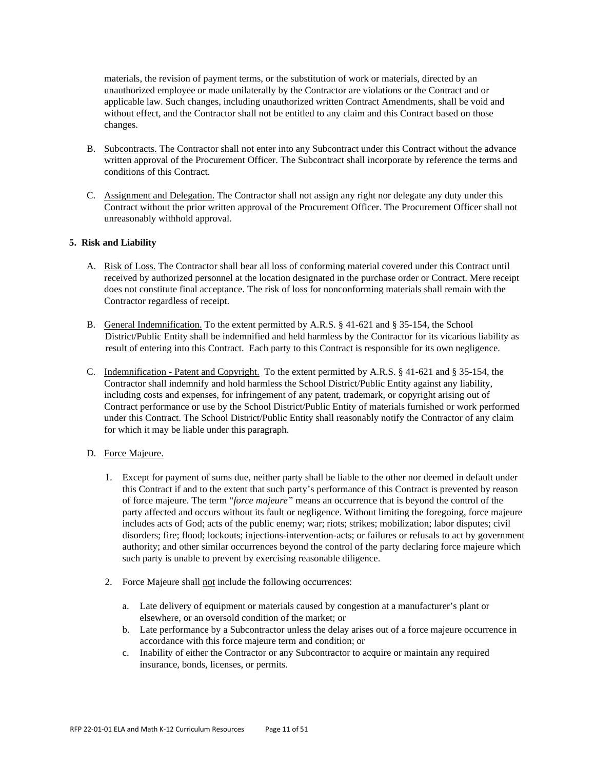materials, the revision of payment terms, or the substitution of work or materials, directed by an unauthorized employee or made unilaterally by the Contractor are violations or the Contract and or applicable law. Such changes, including unauthorized written Contract Amendments, shall be void and without effect, and the Contractor shall not be entitled to any claim and this Contract based on those changes.

- B. Subcontracts. The Contractor shall not enter into any Subcontract under this Contract without the advance written approval of the Procurement Officer. The Subcontract shall incorporate by reference the terms and conditions of this Contract.
- C. Assignment and Delegation. The Contractor shall not assign any right nor delegate any duty under this Contract without the prior written approval of the Procurement Officer. The Procurement Officer shall not unreasonably withhold approval.

# **5. Risk and Liability**

- A. Risk of Loss. The Contractor shall bear all loss of conforming material covered under this Contract until received by authorized personnel at the location designated in the purchase order or Contract. Mere receipt does not constitute final acceptance. The risk of loss for nonconforming materials shall remain with the Contractor regardless of receipt.
- B. General Indemnification. To the extent permitted by A.R.S. § 41-621 and § 35-154, the School District/Public Entity shall be indemnified and held harmless by the Contractor for its vicarious liability as result of entering into this Contract. Each party to this Contract is responsible for its own negligence.
- C. Indemnification Patent and Copyright. To the extent permitted by A.R.S. § 41-621 and § 35-154, the Contractor shall indemnify and hold harmless the School District/Public Entity against any liability, including costs and expenses, for infringement of any patent, trademark, or copyright arising out of Contract performance or use by the School District/Public Entity of materials furnished or work performed under this Contract. The School District/Public Entity shall reasonably notify the Contractor of any claim for which it may be liable under this paragraph.
- D. Force Majeure.
	- 1. Except for payment of sums due, neither party shall be liable to the other nor deemed in default under this Contract if and to the extent that such party's performance of this Contract is prevented by reason of force majeure. The term "*force majeure"* means an occurrence that is beyond the control of the party affected and occurs without its fault or negligence. Without limiting the foregoing, force majeure includes acts of God; acts of the public enemy; war; riots; strikes; mobilization; labor disputes; civil disorders; fire; flood; lockouts; injections-intervention-acts; or failures or refusals to act by government authority; and other similar occurrences beyond the control of the party declaring force majeure which such party is unable to prevent by exercising reasonable diligence.
	- 2. Force Majeure shall not include the following occurrences:
		- a. Late delivery of equipment or materials caused by congestion at a manufacturer's plant or elsewhere, or an oversold condition of the market; or
		- b. Late performance by a Subcontractor unless the delay arises out of a force majeure occurrence in accordance with this force majeure term and condition; or
		- c. Inability of either the Contractor or any Subcontractor to acquire or maintain any required insurance, bonds, licenses, or permits.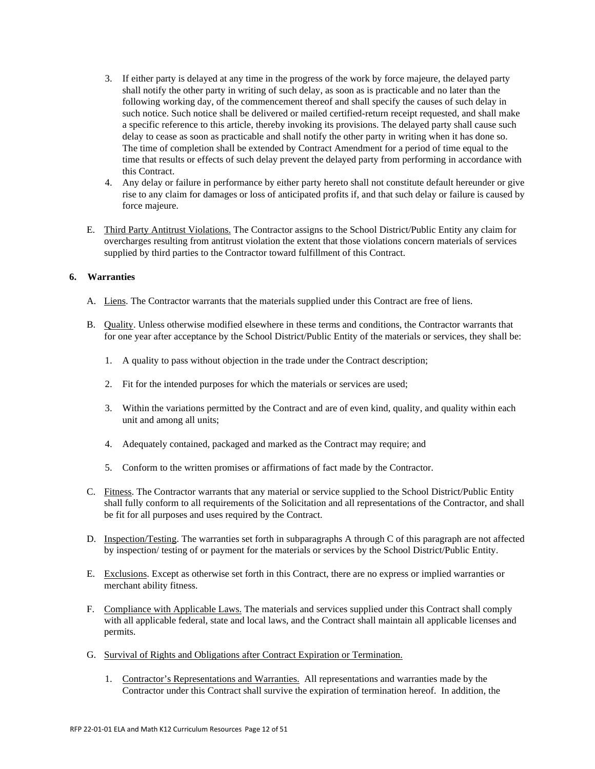- 3. If either party is delayed at any time in the progress of the work by force majeure, the delayed party shall notify the other party in writing of such delay, as soon as is practicable and no later than the following working day, of the commencement thereof and shall specify the causes of such delay in such notice. Such notice shall be delivered or mailed certified-return receipt requested, and shall make a specific reference to this article, thereby invoking its provisions. The delayed party shall cause such delay to cease as soon as practicable and shall notify the other party in writing when it has done so. The time of completion shall be extended by Contract Amendment for a period of time equal to the time that results or effects of such delay prevent the delayed party from performing in accordance with this Contract.
- 4. Any delay or failure in performance by either party hereto shall not constitute default hereunder or give rise to any claim for damages or loss of anticipated profits if, and that such delay or failure is caused by force majeure.
- E. Third Party Antitrust Violations. The Contractor assigns to the School District/Public Entity any claim for overcharges resulting from antitrust violation the extent that those violations concern materials of services supplied by third parties to the Contractor toward fulfillment of this Contract.

# **6. Warranties**

- A. Liens. The Contractor warrants that the materials supplied under this Contract are free of liens.
- B. Quality. Unless otherwise modified elsewhere in these terms and conditions, the Contractor warrants that for one year after acceptance by the School District/Public Entity of the materials or services, they shall be:
	- 1. A quality to pass without objection in the trade under the Contract description;
	- 2. Fit for the intended purposes for which the materials or services are used;
	- 3. Within the variations permitted by the Contract and are of even kind, quality, and quality within each unit and among all units;
	- 4. Adequately contained, packaged and marked as the Contract may require; and
	- 5. Conform to the written promises or affirmations of fact made by the Contractor.
- C. Fitness. The Contractor warrants that any material or service supplied to the School District/Public Entity shall fully conform to all requirements of the Solicitation and all representations of the Contractor, and shall be fit for all purposes and uses required by the Contract.
- D. Inspection/Testing. The warranties set forth in subparagraphs A through C of this paragraph are not affected by inspection/ testing of or payment for the materials or services by the School District/Public Entity.
- E. Exclusions. Except as otherwise set forth in this Contract, there are no express or implied warranties or merchant ability fitness.
- F. Compliance with Applicable Laws. The materials and services supplied under this Contract shall comply with all applicable federal, state and local laws, and the Contract shall maintain all applicable licenses and permits.
- G. Survival of Rights and Obligations after Contract Expiration or Termination.
	- 1. Contractor's Representations and Warranties. All representations and warranties made by the Contractor under this Contract shall survive the expiration of termination hereof. In addition, the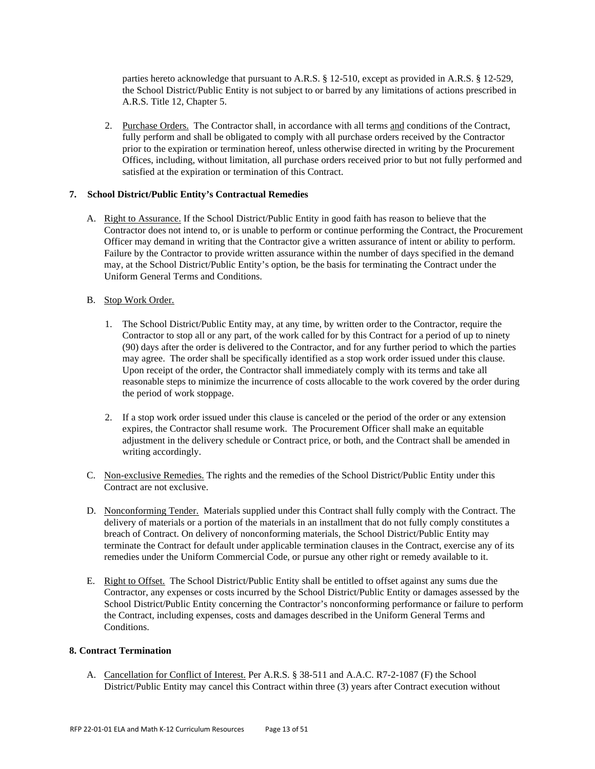parties hereto acknowledge that pursuant to A.R.S. § 12-510, except as provided in A.R.S. § 12-529, the School District/Public Entity is not subject to or barred by any limitations of actions prescribed in A.R.S. Title 12, Chapter 5.

2. Purchase Orders. The Contractor shall, in accordance with all terms and conditions of the Contract, fully perform and shall be obligated to comply with all purchase orders received by the Contractor prior to the expiration or termination hereof, unless otherwise directed in writing by the Procurement Offices, including, without limitation, all purchase orders received prior to but not fully performed and satisfied at the expiration or termination of this Contract.

#### **7. School District/Public Entity's Contractual Remedies**

A. Right to Assurance. If the School District/Public Entity in good faith has reason to believe that the Contractor does not intend to, or is unable to perform or continue performing the Contract, the Procurement Officer may demand in writing that the Contractor give a written assurance of intent or ability to perform. Failure by the Contractor to provide written assurance within the number of days specified in the demand may, at the School District/Public Entity's option, be the basis for terminating the Contract under the Uniform General Terms and Conditions.

#### B. Stop Work Order.

- 1. The School District/Public Entity may, at any time, by written order to the Contractor, require the Contractor to stop all or any part, of the work called for by this Contract for a period of up to ninety (90) days after the order is delivered to the Contractor, and for any further period to which the parties may agree. The order shall be specifically identified as a stop work order issued under this clause. Upon receipt of the order, the Contractor shall immediately comply with its terms and take all reasonable steps to minimize the incurrence of costs allocable to the work covered by the order during the period of work stoppage.
- 2. If a stop work order issued under this clause is canceled or the period of the order or any extension expires, the Contractor shall resume work. The Procurement Officer shall make an equitable adjustment in the delivery schedule or Contract price, or both, and the Contract shall be amended in writing accordingly.
- C. Non-exclusive Remedies. The rights and the remedies of the School District/Public Entity under this Contract are not exclusive.
- D. Nonconforming Tender. Materials supplied under this Contract shall fully comply with the Contract. The delivery of materials or a portion of the materials in an installment that do not fully comply constitutes a breach of Contract. On delivery of nonconforming materials, the School District/Public Entity may terminate the Contract for default under applicable termination clauses in the Contract, exercise any of its remedies under the Uniform Commercial Code, or pursue any other right or remedy available to it.
- E. Right to Offset. The School District/Public Entity shall be entitled to offset against any sums due the Contractor, any expenses or costs incurred by the School District/Public Entity or damages assessed by the School District/Public Entity concerning the Contractor's nonconforming performance or failure to perform the Contract, including expenses, costs and damages described in the Uniform General Terms and Conditions.

### **8. Contract Termination**

A. Cancellation for Conflict of Interest. Per A.R.S. § 38-511 and A.A.C. R7-2-1087 (F) the School District/Public Entity may cancel this Contract within three (3) years after Contract execution without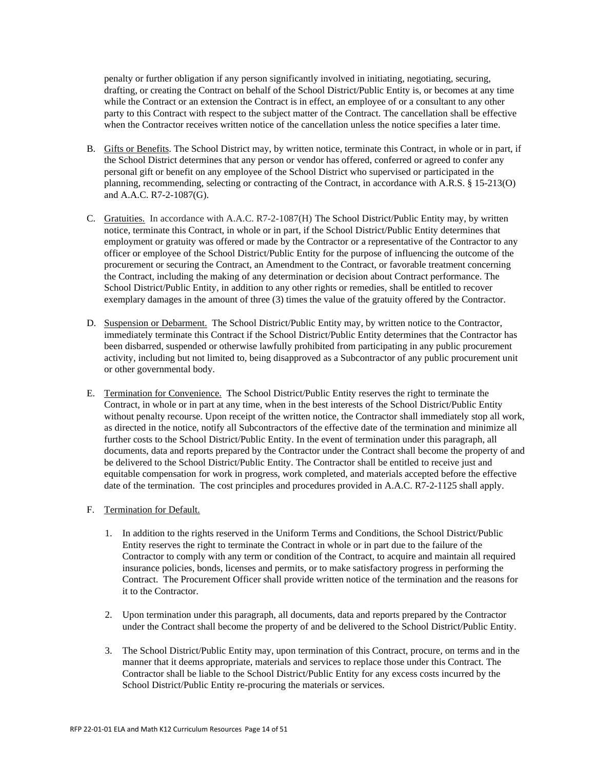penalty or further obligation if any person significantly involved in initiating, negotiating, securing, drafting, or creating the Contract on behalf of the School District/Public Entity is, or becomes at any time while the Contract or an extension the Contract is in effect, an employee of or a consultant to any other party to this Contract with respect to the subject matter of the Contract. The cancellation shall be effective when the Contractor receives written notice of the cancellation unless the notice specifies a later time.

- B. Gifts or Benefits. The School District may, by written notice, terminate this Contract, in whole or in part, if the School District determines that any person or vendor has offered, conferred or agreed to confer any personal gift or benefit on any employee of the School District who supervised or participated in the planning, recommending, selecting or contracting of the Contract, in accordance with A.R.S. § 15-213(O) and A.A.C. R7-2-1087(G).
- C. Gratuities. In accordance with A.A.C. R7-2-1087(H) The School District/Public Entity may, by written notice, terminate this Contract, in whole or in part, if the School District/Public Entity determines that employment or gratuity was offered or made by the Contractor or a representative of the Contractor to any officer or employee of the School District/Public Entity for the purpose of influencing the outcome of the procurement or securing the Contract, an Amendment to the Contract, or favorable treatment concerning the Contract, including the making of any determination or decision about Contract performance. The School District/Public Entity, in addition to any other rights or remedies, shall be entitled to recover exemplary damages in the amount of three (3) times the value of the gratuity offered by the Contractor.
- D. Suspension or Debarment. The School District/Public Entity may, by written notice to the Contractor, immediately terminate this Contract if the School District/Public Entity determines that the Contractor has been disbarred, suspended or otherwise lawfully prohibited from participating in any public procurement activity, including but not limited to, being disapproved as a Subcontractor of any public procurement unit or other governmental body.
- E. Termination for Convenience. The School District/Public Entity reserves the right to terminate the Contract, in whole or in part at any time, when in the best interests of the School District/Public Entity without penalty recourse. Upon receipt of the written notice, the Contractor shall immediately stop all work, as directed in the notice, notify all Subcontractors of the effective date of the termination and minimize all further costs to the School District/Public Entity. In the event of termination under this paragraph, all documents, data and reports prepared by the Contractor under the Contract shall become the property of and be delivered to the School District/Public Entity. The Contractor shall be entitled to receive just and equitable compensation for work in progress, work completed, and materials accepted before the effective date of the termination. The cost principles and procedures provided in A.A.C. R7-2-1125 shall apply.

# F. Termination for Default.

- 1. In addition to the rights reserved in the Uniform Terms and Conditions, the School District/Public Entity reserves the right to terminate the Contract in whole or in part due to the failure of the Contractor to comply with any term or condition of the Contract, to acquire and maintain all required insurance policies, bonds, licenses and permits, or to make satisfactory progress in performing the Contract. The Procurement Officer shall provide written notice of the termination and the reasons for it to the Contractor.
- 2. Upon termination under this paragraph, all documents, data and reports prepared by the Contractor under the Contract shall become the property of and be delivered to the School District/Public Entity.
- 3. The School District/Public Entity may, upon termination of this Contract, procure, on terms and in the manner that it deems appropriate, materials and services to replace those under this Contract. The Contractor shall be liable to the School District/Public Entity for any excess costs incurred by the School District/Public Entity re-procuring the materials or services.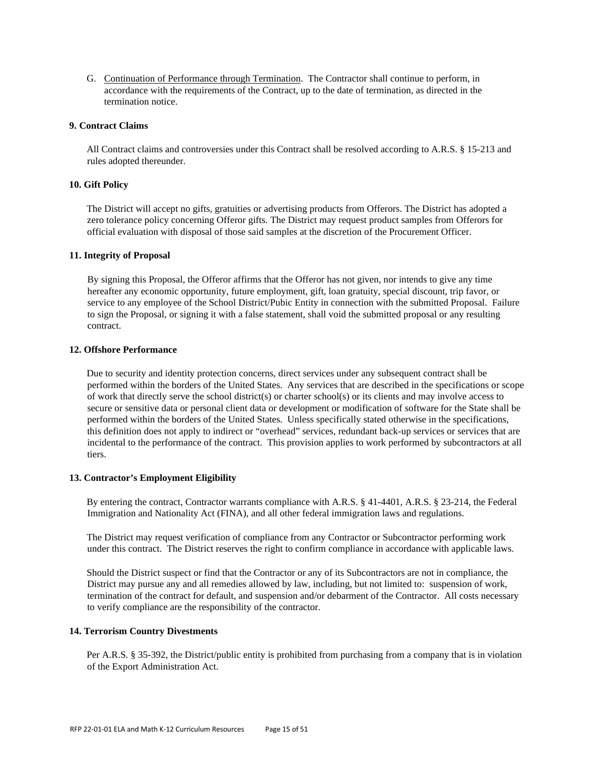G. Continuation of Performance through Termination. The Contractor shall continue to perform, in accordance with the requirements of the Contract, up to the date of termination, as directed in the termination notice.

#### **9. Contract Claims**

All Contract claims and controversies under this Contract shall be resolved according to A.R.S. § 15-213 and rules adopted thereunder.

#### **10. Gift Policy**

The District will accept no gifts, gratuities or advertising products from Offerors. The District has adopted a zero tolerance policy concerning Offeror gifts. The District may request product samples from Offerors for official evaluation with disposal of those said samples at the discretion of the Procurement Officer.

# **11. Integrity of Proposal**

By signing this Proposal, the Offeror affirms that the Offeror has not given, nor intends to give any time hereafter any economic opportunity, future employment, gift, loan gratuity, special discount, trip favor, or service to any employee of the School District/Pubic Entity in connection with the submitted Proposal. Failure to sign the Proposal, or signing it with a false statement, shall void the submitted proposal or any resulting contract.

### **12. Offshore Performance**

Due to security and identity protection concerns, direct services under any subsequent contract shall be performed within the borders of the United States. Any services that are described in the specifications or scope of work that directly serve the school district(s) or charter school(s) or its clients and may involve access to secure or sensitive data or personal client data or development or modification of software for the State shall be performed within the borders of the United States. Unless specifically stated otherwise in the specifications, this definition does not apply to indirect or "overhead" services, redundant back-up services or services that are incidental to the performance of the contract. This provision applies to work performed by subcontractors at all tiers.

#### **13. Contractor's Employment Eligibility**

By entering the contract, Contractor warrants compliance with A.R.S. § 41-4401, A.R.S. § 23-214, the Federal Immigration and Nationality Act (FINA), and all other federal immigration laws and regulations.

The District may request verification of compliance from any Contractor or Subcontractor performing work under this contract. The District reserves the right to confirm compliance in accordance with applicable laws.

Should the District suspect or find that the Contractor or any of its Subcontractors are not in compliance, the District may pursue any and all remedies allowed by law, including, but not limited to: suspension of work, termination of the contract for default, and suspension and/or debarment of the Contractor. All costs necessary to verify compliance are the responsibility of the contractor.

# **14. Terrorism Country Divestments**

Per A.R.S. § 35-392, the District/public entity is prohibited from purchasing from a company that is in violation of the Export Administration Act.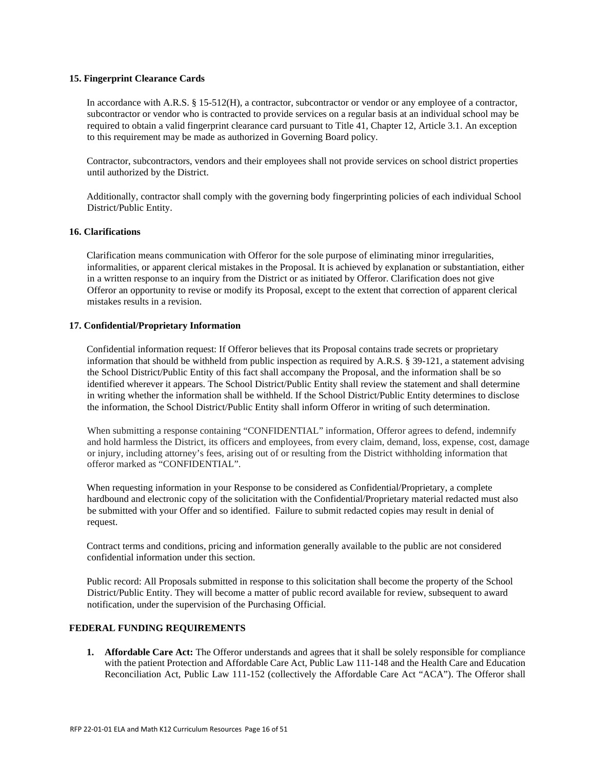#### **15. Fingerprint Clearance Cards**

In accordance with A.R.S. § 15-512(H), a contractor, subcontractor or vendor or any employee of a contractor, subcontractor or vendor who is contracted to provide services on a regular basis at an individual school may be required to obtain a valid fingerprint clearance card pursuant to Title 41, Chapter 12, Article 3.1. An exception to this requirement may be made as authorized in Governing Board policy.

Contractor, subcontractors, vendors and their employees shall not provide services on school district properties until authorized by the District.

Additionally, contractor shall comply with the governing body fingerprinting policies of each individual School District/Public Entity.

#### **16. Clarifications**

Clarification means communication with Offeror for the sole purpose of eliminating minor irregularities, informalities, or apparent clerical mistakes in the Proposal. It is achieved by explanation or substantiation, either in a written response to an inquiry from the District or as initiated by Offeror. Clarification does not give Offeror an opportunity to revise or modify its Proposal, except to the extent that correction of apparent clerical mistakes results in a revision.

### **17. Confidential/Proprietary Information**

Confidential information request: If Offeror believes that its Proposal contains trade secrets or proprietary information that should be withheld from public inspection as required by A.R.S. § 39-121, a statement advising the School District/Public Entity of this fact shall accompany the Proposal, and the information shall be so identified wherever it appears. The School District/Public Entity shall review the statement and shall determine in writing whether the information shall be withheld. If the School District/Public Entity determines to disclose the information, the School District/Public Entity shall inform Offeror in writing of such determination.

When submitting a response containing "CONFIDENTIAL" information, Offeror agrees to defend, indemnify and hold harmless the District, its officers and employees, from every claim, demand, loss, expense, cost, damage or injury, including attorney's fees, arising out of or resulting from the District withholding information that offeror marked as "CONFIDENTIAL".

When requesting information in your Response to be considered as Confidential/Proprietary, a complete hardbound and electronic copy of the solicitation with the Confidential/Proprietary material redacted must also be submitted with your Offer and so identified. Failure to submit redacted copies may result in denial of request.

Contract terms and conditions, pricing and information generally available to the public are not considered confidential information under this section.

Public record: All Proposals submitted in response to this solicitation shall become the property of the School District/Public Entity. They will become a matter of public record available for review, subsequent to award notification, under the supervision of the Purchasing Official.

#### **FEDERAL FUNDING REQUIREMENTS**

**1. Affordable Care Act:** The Offeror understands and agrees that it shall be solely responsible for compliance with the patient Protection and Affordable Care Act, Public Law 111-148 and the Health Care and Education Reconciliation Act, Public Law 111-152 (collectively the Affordable Care Act "ACA"). The Offeror shall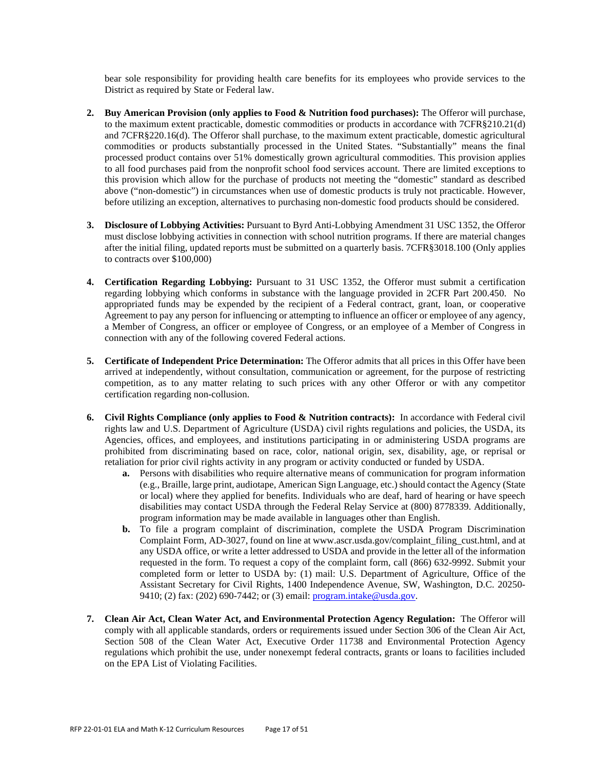bear sole responsibility for providing health care benefits for its employees who provide services to the District as required by State or Federal law.

- **2. Buy American Provision (only applies to Food & Nutrition food purchases):** The Offeror will purchase, to the maximum extent practicable, domestic commodities or products in accordance with 7CFR§210.21(d) and 7CFR§220.16(d). The Offeror shall purchase, to the maximum extent practicable, domestic agricultural commodities or products substantially processed in the United States. "Substantially" means the final processed product contains over 51% domestically grown agricultural commodities. This provision applies to all food purchases paid from the nonprofit school food services account. There are limited exceptions to this provision which allow for the purchase of products not meeting the "domestic" standard as described above ("non-domestic") in circumstances when use of domestic products is truly not practicable. However, before utilizing an exception, alternatives to purchasing non-domestic food products should be considered.
- **3. Disclosure of Lobbying Activities:** Pursuant to Byrd Anti-Lobbying Amendment 31 USC 1352, the Offeror must disclose lobbying activities in connection with school nutrition programs. If there are material changes after the initial filing, updated reports must be submitted on a quarterly basis. 7CFR§3018.100 (Only applies to contracts over \$100,000)
- **4. Certification Regarding Lobbying:** Pursuant to 31 USC 1352, the Offeror must submit a certification regarding lobbying which conforms in substance with the language provided in 2CFR Part 200.450. No appropriated funds may be expended by the recipient of a Federal contract, grant, loan, or cooperative Agreement to pay any person for influencing or attempting to influence an officer or employee of any agency, a Member of Congress, an officer or employee of Congress, or an employee of a Member of Congress in connection with any of the following covered Federal actions.
- **5. Certificate of Independent Price Determination:** The Offeror admits that all prices in this Offer have been arrived at independently, without consultation, communication or agreement, for the purpose of restricting competition, as to any matter relating to such prices with any other Offeror or with any competitor certification regarding non-collusion.
- **6. Civil Rights Compliance (only applies to Food & Nutrition contracts):** In accordance with Federal civil rights law and U.S. Department of Agriculture (USDA) civil rights regulations and policies, the USDA, its Agencies, offices, and employees, and institutions participating in or administering USDA programs are prohibited from discriminating based on race, color, national origin, sex, disability, age, or reprisal or retaliation for prior civil rights activity in any program or activity conducted or funded by USDA.
	- **a.** Persons with disabilities who require alternative means of communication for program information (e.g., Braille, large print, audiotape, American Sign Language, etc.) should contact the Agency (State or local) where they applied for benefits. Individuals who are deaf, hard of hearing or have speech disabilities may contact USDA through the Federal Relay Service at (800) 8778339. Additionally, program information may be made available in languages other than English.
	- **b.** To file a program complaint of discrimination, complete the USDA Program Discrimination Complaint Form, AD-3027, found on line at www.ascr.usda.gov/complaint\_filing\_cust.html, and at any USDA office, or write a letter addressed to USDA and provide in the letter all of the information requested in the form. To request a copy of the complaint form, call (866) 632-9992. Submit your completed form or letter to USDA by: (1) mail: U.S. Department of Agriculture, Office of the Assistant Secretary for Civil Rights, 1400 Independence Avenue, SW, Washington, D.C. 20250- 9410; (2) fax: (202) 690-7442; or (3) email: program.intake@usda.gov.
- **7. Clean Air Act, Clean Water Act, and Environmental Protection Agency Regulation:** The Offeror will comply with all applicable standards, orders or requirements issued under Section 306 of the Clean Air Act, Section 508 of the Clean Water Act, Executive Order 11738 and Environmental Protection Agency regulations which prohibit the use, under nonexempt federal contracts, grants or loans to facilities included on the EPA List of Violating Facilities.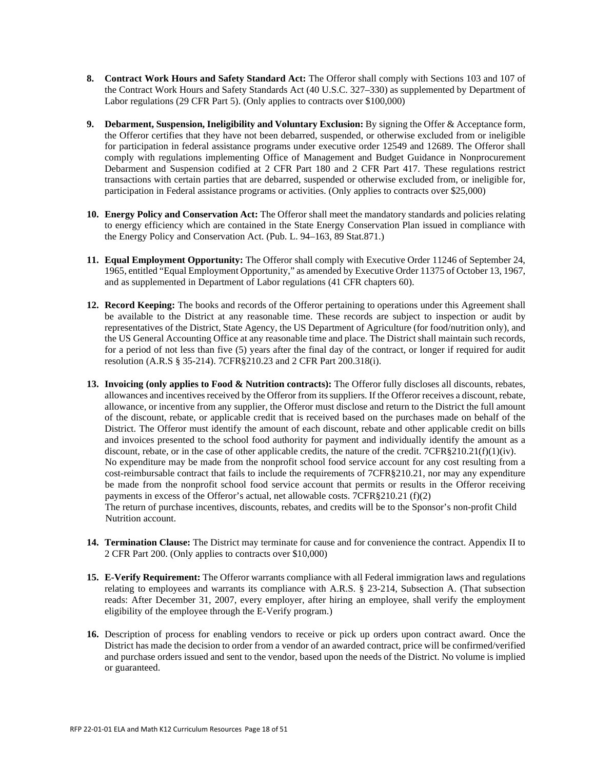- **8. Contract Work Hours and Safety Standard Act:** The Offeror shall comply with Sections 103 and 107 of the Contract Work Hours and Safety Standards Act (40 U.S.C. 327–330) as supplemented by Department of Labor regulations (29 CFR Part 5). (Only applies to contracts over \$100,000)
- **9. Debarment, Suspension, Ineligibility and Voluntary Exclusion:** By signing the Offer & Acceptance form, the Offeror certifies that they have not been debarred, suspended, or otherwise excluded from or ineligible for participation in federal assistance programs under executive order 12549 and 12689. The Offeror shall comply with regulations implementing Office of Management and Budget Guidance in Nonprocurement Debarment and Suspension codified at 2 CFR Part 180 and 2 CFR Part 417. These regulations restrict transactions with certain parties that are debarred, suspended or otherwise excluded from, or ineligible for, participation in Federal assistance programs or activities. (Only applies to contracts over \$25,000)
- **10. Energy Policy and Conservation Act:** The Offeror shall meet the mandatory standards and policies relating to energy efficiency which are contained in the State Energy Conservation Plan issued in compliance with the Energy Policy and Conservation Act. (Pub. L. 94–163, 89 Stat.871.)
- **11. Equal Employment Opportunity:** The Offeror shall comply with Executive Order 11246 of September 24, 1965, entitled "Equal Employment Opportunity," as amended by Executive Order 11375 of October 13, 1967, and as supplemented in Department of Labor regulations (41 CFR chapters 60).
- **12. Record Keeping:** The books and records of the Offeror pertaining to operations under this Agreement shall be available to the District at any reasonable time. These records are subject to inspection or audit by representatives of the District, State Agency, the US Department of Agriculture (for food/nutrition only), and the US General Accounting Office at any reasonable time and place. The District shall maintain such records, for a period of not less than five (5) years after the final day of the contract, or longer if required for audit resolution (A.R.S § 35-214). 7CFR§210.23 and 2 CFR Part 200.318(i).
- **13. Invoicing (only applies to Food & Nutrition contracts):** The Offeror fully discloses all discounts, rebates, allowances and incentives received by the Offeror from its suppliers. If the Offeror receives a discount, rebate, allowance, or incentive from any supplier, the Offeror must disclose and return to the District the full amount of the discount, rebate, or applicable credit that is received based on the purchases made on behalf of the District. The Offeror must identify the amount of each discount, rebate and other applicable credit on bills and invoices presented to the school food authority for payment and individually identify the amount as a discount, rebate, or in the case of other applicable credits, the nature of the credit. 7CFR§210.21(f)(1)(iv). No expenditure may be made from the nonprofit school food service account for any cost resulting from a cost-reimbursable contract that fails to include the requirements of 7CFR§210.21, nor may any expenditure be made from the nonprofit school food service account that permits or results in the Offeror receiving payments in excess of the Offeror's actual, net allowable costs. 7CFR§210.21 (f)(2) The return of purchase incentives, discounts, rebates, and credits will be to the Sponsor's non-profit Child Nutrition account.
- **14. Termination Clause:** The District may terminate for cause and for convenience the contract. Appendix II to 2 CFR Part 200. (Only applies to contracts over \$10,000)
- **15. E-Verify Requirement:** The Offeror warrants compliance with all Federal immigration laws and regulations relating to employees and warrants its compliance with A.R.S. § 23-214, Subsection A. (That subsection reads: After December 31, 2007, every employer, after hiring an employee, shall verify the employment eligibility of the employee through the E-Verify program.)
- **16.** Description of process for enabling vendors to receive or pick up orders upon contract award. Once the District has made the decision to order from a vendor of an awarded contract, price will be confirmed/verified and purchase orders issued and sent to the vendor, based upon the needs of the District. No volume is implied or guaranteed.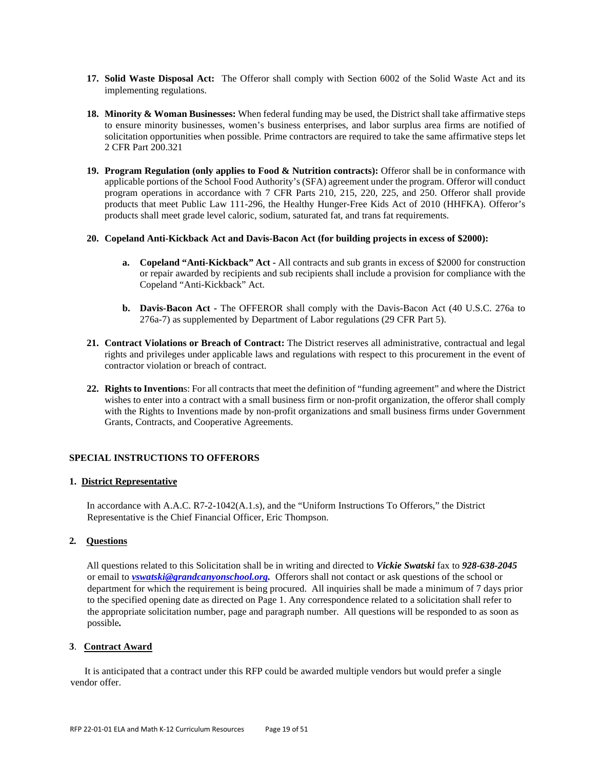- **17. Solid Waste Disposal Act:** The Offeror shall comply with Section 6002 of the Solid Waste Act and its implementing regulations.
- **18. Minority & Woman Businesses:** When federal funding may be used, the District shall take affirmative steps to ensure minority businesses, women's business enterprises, and labor surplus area firms are notified of solicitation opportunities when possible. Prime contractors are required to take the same affirmative steps let 2 CFR Part 200.321
- **19. Program Regulation (only applies to Food & Nutrition contracts):** Offeror shall be in conformance with applicable portions of the School Food Authority's (SFA) agreement under the program. Offeror will conduct program operations in accordance with 7 CFR Parts 210, 215, 220, 225, and 250. Offeror shall provide products that meet Public Law 111-296, the Healthy Hunger-Free Kids Act of 2010 (HHFKA). Offeror's products shall meet grade level caloric, sodium, saturated fat, and trans fat requirements.

#### **20. Copeland Anti-Kickback Act and Davis-Bacon Act (for building projects in excess of \$2000):**

- **a. Copeland "Anti-Kickback" Act -** All contracts and sub grants in excess of \$2000 for construction or repair awarded by recipients and sub recipients shall include a provision for compliance with the Copeland "Anti-Kickback" Act.
- **b. Davis-Bacon Act -** The OFFEROR shall comply with the Davis-Bacon Act (40 U.S.C. 276a to 276a-7) as supplemented by Department of Labor regulations (29 CFR Part 5).
- **21. Contract Violations or Breach of Contract:** The District reserves all administrative, contractual and legal rights and privileges under applicable laws and regulations with respect to this procurement in the event of contractor violation or breach of contract.
- **22. Rights to Invention**s: For all contracts that meet the definition of "funding agreement" and where the District wishes to enter into a contract with a small business firm or non-profit organization, the offeror shall comply with the Rights to Inventions made by non-profit organizations and small business firms under Government Grants, Contracts, and Cooperative Agreements.

#### **SPECIAL INSTRUCTIONS TO OFFERORS**

#### **1. District Representative**

In accordance with A.A.C. R7-2-1042(A.1.s), and the "Uniform Instructions To Offerors," the District Representative is the Chief Financial Officer, Eric Thompson.

#### **2***.* **Questions**

All questions related to this Solicitation shall be in writing and directed to *Vickie Swatski* fax to *928-638-2045* or email to *vswatski@grandcanyonschool.org.* Offerors shall not contact or ask questions of the school or department for which the requirement is being procured. All inquiries shall be made a minimum of 7 days prior to the specified opening date as directed on Page 1. Any correspondence related to a solicitation shall refer to the appropriate solicitation number, page and paragraph number. All questions will be responded to as soon as possible*.* 

#### **3**. **Contract Award**

It is anticipated that a contract under this RFP could be awarded multiple vendors but would prefer a single vendor offer.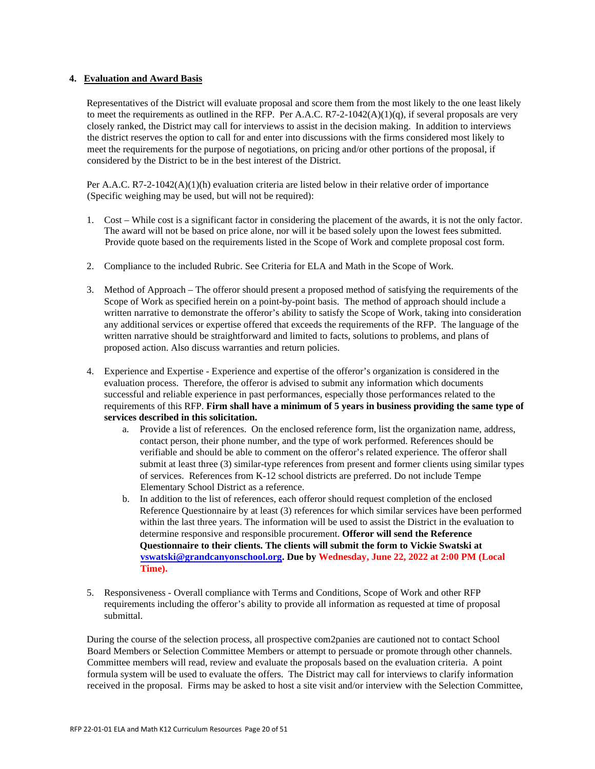# **4. Evaluation and Award Basis**

Representatives of the District will evaluate proposal and score them from the most likely to the one least likely to meet the requirements as outlined in the RFP. Per A.A.C. R7-2-1042(A)(1)(q), if several proposals are very closely ranked, the District may call for interviews to assist in the decision making. In addition to interviews the district reserves the option to call for and enter into discussions with the firms considered most likely to meet the requirements for the purpose of negotiations, on pricing and/or other portions of the proposal, if considered by the District to be in the best interest of the District.

Per A.A.C. R7-2-1042(A)(1)(h) evaluation criteria are listed below in their relative order of importance (Specific weighing may be used, but will not be required):

- 1. Cost While cost is a significant factor in considering the placement of the awards, it is not the only factor. The award will not be based on price alone, nor will it be based solely upon the lowest fees submitted. Provide quote based on the requirements listed in the Scope of Work and complete proposal cost form.
- 2. Compliance to the included Rubric. See Criteria for ELA and Math in the Scope of Work.
- 3. Method of Approach The offeror should present a proposed method of satisfying the requirements of the Scope of Work as specified herein on a point-by-point basis. The method of approach should include a written narrative to demonstrate the offeror's ability to satisfy the Scope of Work, taking into consideration any additional services or expertise offered that exceeds the requirements of the RFP. The language of the written narrative should be straightforward and limited to facts, solutions to problems, and plans of proposed action. Also discuss warranties and return policies.
- 4. Experience and Expertise Experience and expertise of the offeror's organization is considered in the evaluation process. Therefore, the offeror is advised to submit any information which documents successful and reliable experience in past performances, especially those performances related to the requirements of this RFP. **Firm shall have a minimum of 5 years in business providing the same type of services described in this solicitation.**
	- a. Provide a list of references. On the enclosed reference form, list the organization name, address, contact person, their phone number, and the type of work performed. References should be verifiable and should be able to comment on the offeror's related experience. The offeror shall submit at least three (3) similar-type references from present and former clients using similar types of services. References from K-12 school districts are preferred. Do not include Tempe Elementary School District as a reference.
	- b. In addition to the list of references, each offeror should request completion of the enclosed Reference Questionnaire by at least (3) references for which similar services have been performed within the last three years. The information will be used to assist the District in the evaluation to determine responsive and responsible procurement. **Offeror will send the Reference Questionnaire to their clients. The clients will submit the form to Vickie Swatski at vswatski@grandcanyonschool.org. Due by Wednesday, June 22, 2022 at 2:00 PM (Local Time).**
- 5. Responsiveness Overall compliance with Terms and Conditions, Scope of Work and other RFP requirements including the offeror's ability to provide all information as requested at time of proposal submittal.

During the course of the selection process, all prospective com2panies are cautioned not to contact School Board Members or Selection Committee Members or attempt to persuade or promote through other channels. Committee members will read, review and evaluate the proposals based on the evaluation criteria. A point formula system will be used to evaluate the offers. The District may call for interviews to clarify information received in the proposal. Firms may be asked to host a site visit and/or interview with the Selection Committee,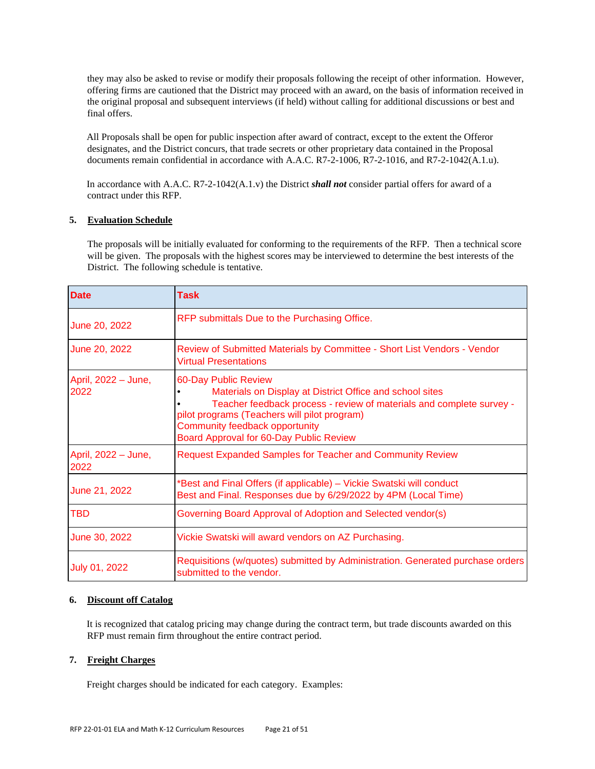they may also be asked to revise or modify their proposals following the receipt of other information. However, offering firms are cautioned that the District may proceed with an award, on the basis of information received in the original proposal and subsequent interviews (if held) without calling for additional discussions or best and final offers.

All Proposals shall be open for public inspection after award of contract, except to the extent the Offeror designates, and the District concurs, that trade secrets or other proprietary data contained in the Proposal documents remain confidential in accordance with A.A.C. R7-2-1006, R7-2-1016, and R7-2-1042(A.1.u).

In accordance with A.A.C. R7-2-1042(A.1.v) the District *shall not* consider partial offers for award of a contract under this RFP.

# **5. Evaluation Schedule**

The proposals will be initially evaluated for conforming to the requirements of the RFP. Then a technical score will be given. The proposals with the highest scores may be interviewed to determine the best interests of the District. The following schedule is tentative.

| <b>Date</b>                 | <b>Task</b>                                                                                                                                                                                                                                                                           |
|-----------------------------|---------------------------------------------------------------------------------------------------------------------------------------------------------------------------------------------------------------------------------------------------------------------------------------|
| June 20, 2022               | RFP submittals Due to the Purchasing Office.                                                                                                                                                                                                                                          |
| June 20, 2022               | Review of Submitted Materials by Committee - Short List Vendors - Vendor<br><b>Virtual Presentations</b>                                                                                                                                                                              |
| April, 2022 - June,<br>2022 | 60-Day Public Review<br>Materials on Display at District Office and school sites<br>Teacher feedback process - review of materials and complete survey -<br>pilot programs (Teachers will pilot program)<br>Community feedback opportunity<br>Board Approval for 60-Day Public Review |
| April, 2022 - June,<br>2022 | <b>Request Expanded Samples for Teacher and Community Review</b>                                                                                                                                                                                                                      |
| June 21, 2022               | *Best and Final Offers (if applicable) - Vickie Swatski will conduct<br>Best and Final. Responses due by 6/29/2022 by 4PM (Local Time)                                                                                                                                                |
| TBD                         | Governing Board Approval of Adoption and Selected vendor(s)                                                                                                                                                                                                                           |
| June 30, 2022               | Vickie Swatski will award vendors on AZ Purchasing.                                                                                                                                                                                                                                   |
| July 01, 2022               | Requisitions (w/quotes) submitted by Administration. Generated purchase orders<br>submitted to the vendor.                                                                                                                                                                            |

#### **6. Discount off Catalog**

It is recognized that catalog pricing may change during the contract term, but trade discounts awarded on this RFP must remain firm throughout the entire contract period.

#### **7. Freight Charges**

Freight charges should be indicated for each category. Examples: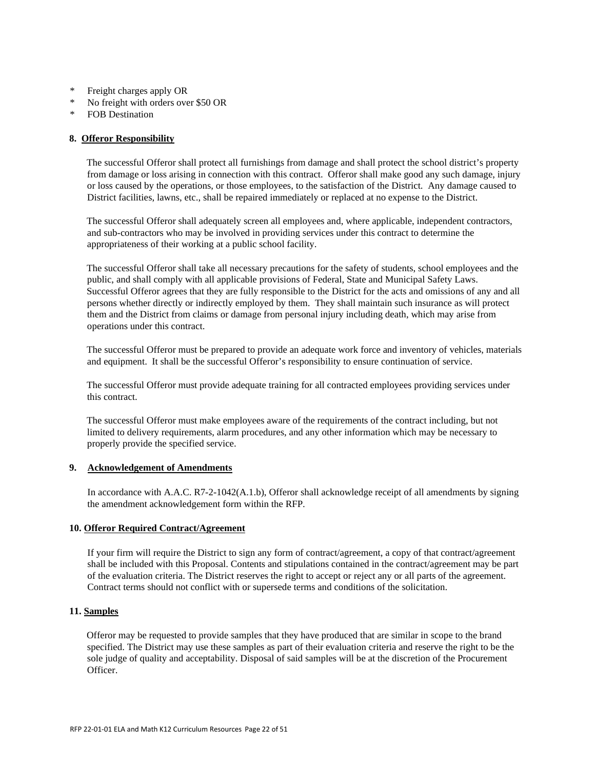- \* Freight charges apply OR
- \* No freight with orders over \$50 OR
- \* FOB Destination

### **8. Offeror Responsibility**

The successful Offeror shall protect all furnishings from damage and shall protect the school district's property from damage or loss arising in connection with this contract. Offeror shall make good any such damage, injury or loss caused by the operations, or those employees, to the satisfaction of the District. Any damage caused to District facilities, lawns, etc., shall be repaired immediately or replaced at no expense to the District.

The successful Offeror shall adequately screen all employees and, where applicable, independent contractors, and sub-contractors who may be involved in providing services under this contract to determine the appropriateness of their working at a public school facility.

The successful Offeror shall take all necessary precautions for the safety of students, school employees and the public, and shall comply with all applicable provisions of Federal, State and Municipal Safety Laws. Successful Offeror agrees that they are fully responsible to the District for the acts and omissions of any and all persons whether directly or indirectly employed by them. They shall maintain such insurance as will protect them and the District from claims or damage from personal injury including death, which may arise from operations under this contract.

The successful Offeror must be prepared to provide an adequate work force and inventory of vehicles, materials and equipment. It shall be the successful Offeror's responsibility to ensure continuation of service.

The successful Offeror must provide adequate training for all contracted employees providing services under this contract.

The successful Offeror must make employees aware of the requirements of the contract including, but not limited to delivery requirements, alarm procedures, and any other information which may be necessary to properly provide the specified service.

# **9. Acknowledgement of Amendments**

In accordance with A.A.C. R7-2-1042(A.1.b), Offeror shall acknowledge receipt of all amendments by signing the amendment acknowledgement form within the RFP.

### **10. Offeror Required Contract/Agreement**

If your firm will require the District to sign any form of contract/agreement, a copy of that contract/agreement shall be included with this Proposal. Contents and stipulations contained in the contract/agreement may be part of the evaluation criteria. The District reserves the right to accept or reject any or all parts of the agreement. Contract terms should not conflict with or supersede terms and conditions of the solicitation.

### **11. Samples**

Offeror may be requested to provide samples that they have produced that are similar in scope to the brand specified. The District may use these samples as part of their evaluation criteria and reserve the right to be the sole judge of quality and acceptability. Disposal of said samples will be at the discretion of the Procurement **Officer**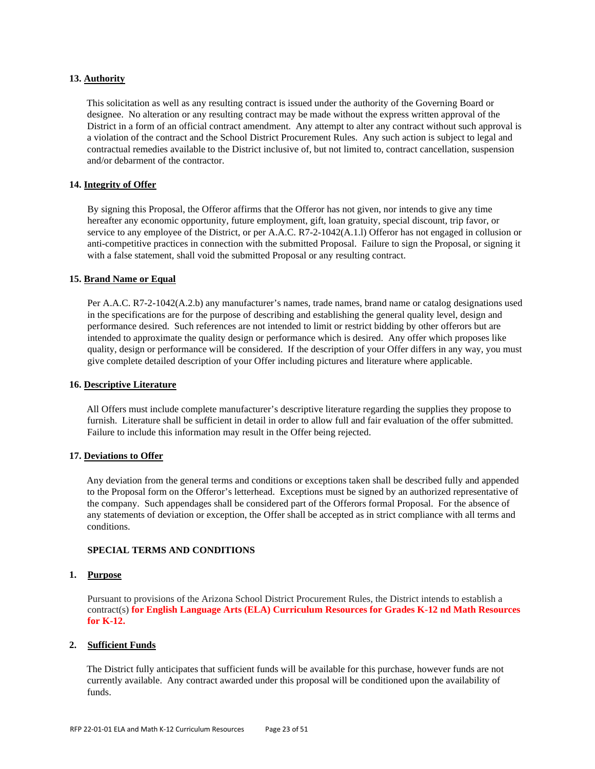### **13. Authority**

This solicitation as well as any resulting contract is issued under the authority of the Governing Board or designee. No alteration or any resulting contract may be made without the express written approval of the District in a form of an official contract amendment. Any attempt to alter any contract without such approval is a violation of the contract and the School District Procurement Rules. Any such action is subject to legal and contractual remedies available to the District inclusive of, but not limited to, contract cancellation, suspension and/or debarment of the contractor.

# **14. Integrity of Offer**

By signing this Proposal, the Offeror affirms that the Offeror has not given, nor intends to give any time hereafter any economic opportunity, future employment, gift, loan gratuity, special discount, trip favor, or service to any employee of the District, or per A.A.C. R7-2-1042(A.1.l) Offeror has not engaged in collusion or anti-competitive practices in connection with the submitted Proposal. Failure to sign the Proposal, or signing it with a false statement, shall void the submitted Proposal or any resulting contract.

#### **15. Brand Name or Equal**

Per A.A.C. R7-2-1042(A.2.b) any manufacturer's names, trade names, brand name or catalog designations used in the specifications are for the purpose of describing and establishing the general quality level, design and performance desired. Such references are not intended to limit or restrict bidding by other offerors but are intended to approximate the quality design or performance which is desired. Any offer which proposes like quality, design or performance will be considered. If the description of your Offer differs in any way, you must give complete detailed description of your Offer including pictures and literature where applicable.

#### **16. Descriptive Literature**

All Offers must include complete manufacturer's descriptive literature regarding the supplies they propose to furnish. Literature shall be sufficient in detail in order to allow full and fair evaluation of the offer submitted. Failure to include this information may result in the Offer being rejected.

#### **17. Deviations to Offer**

Any deviation from the general terms and conditions or exceptions taken shall be described fully and appended to the Proposal form on the Offeror's letterhead. Exceptions must be signed by an authorized representative of the company. Such appendages shall be considered part of the Offerors formal Proposal. For the absence of any statements of deviation or exception, the Offer shall be accepted as in strict compliance with all terms and conditions.

#### **SPECIAL TERMS AND CONDITIONS**

#### **1. Purpose**

Pursuant to provisions of the Arizona School District Procurement Rules, the District intends to establish a contract(s) **for English Language Arts (ELA) Curriculum Resources for Grades K-12 nd Math Resources for K-12.**

#### **2. Sufficient Funds**

The District fully anticipates that sufficient funds will be available for this purchase, however funds are not currently available. Any contract awarded under this proposal will be conditioned upon the availability of funds.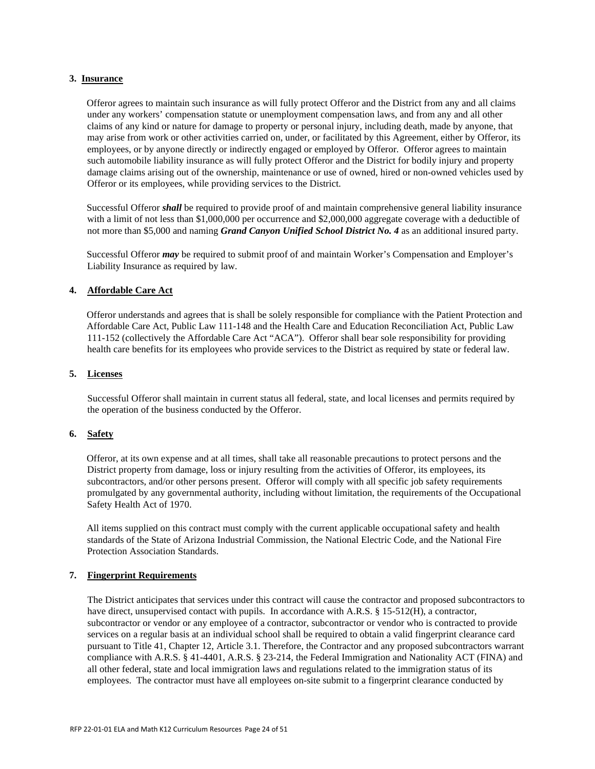### **3. Insurance**

Offeror agrees to maintain such insurance as will fully protect Offeror and the District from any and all claims under any workers' compensation statute or unemployment compensation laws, and from any and all other claims of any kind or nature for damage to property or personal injury, including death, made by anyone, that may arise from work or other activities carried on, under, or facilitated by this Agreement, either by Offeror, its employees, or by anyone directly or indirectly engaged or employed by Offeror. Offeror agrees to maintain such automobile liability insurance as will fully protect Offeror and the District for bodily injury and property damage claims arising out of the ownership, maintenance or use of owned, hired or non-owned vehicles used by Offeror or its employees, while providing services to the District.

Successful Offeror *shall* be required to provide proof of and maintain comprehensive general liability insurance with a limit of not less than \$1,000,000 per occurrence and \$2,000,000 aggregate coverage with a deductible of not more than \$5,000 and naming *Grand Canyon Unified School District No. 4* as an additional insured party.

Successful Offeror *may* be required to submit proof of and maintain Worker's Compensation and Employer's Liability Insurance as required by law.

#### **4. Affordable Care Act**

Offeror understands and agrees that is shall be solely responsible for compliance with the Patient Protection and Affordable Care Act, Public Law 111-148 and the Health Care and Education Reconciliation Act, Public Law 111-152 (collectively the Affordable Care Act "ACA"). Offeror shall bear sole responsibility for providing health care benefits for its employees who provide services to the District as required by state or federal law.

# **5. Licenses**

Successful Offeror shall maintain in current status all federal, state, and local licenses and permits required by the operation of the business conducted by the Offeror.

#### **6. Safety**

Offeror, at its own expense and at all times, shall take all reasonable precautions to protect persons and the District property from damage, loss or injury resulting from the activities of Offeror, its employees, its subcontractors, and/or other persons present. Offeror will comply with all specific job safety requirements promulgated by any governmental authority, including without limitation, the requirements of the Occupational Safety Health Act of 1970.

All items supplied on this contract must comply with the current applicable occupational safety and health standards of the State of Arizona Industrial Commission, the National Electric Code, and the National Fire Protection Association Standards.

#### **7. Fingerprint Requirements**

The District anticipates that services under this contract will cause the contractor and proposed subcontractors to have direct, unsupervised contact with pupils. In accordance with A.R.S. § 15-512(H), a contractor, subcontractor or vendor or any employee of a contractor, subcontractor or vendor who is contracted to provide services on a regular basis at an individual school shall be required to obtain a valid fingerprint clearance card pursuant to Title 41, Chapter 12, Article 3.1. Therefore, the Contractor and any proposed subcontractors warrant compliance with A.R.S. § 41-4401, A.R.S. § 23-214, the Federal Immigration and Nationality ACT (FINA) and all other federal, state and local immigration laws and regulations related to the immigration status of its employees. The contractor must have all employees on-site submit to a fingerprint clearance conducted by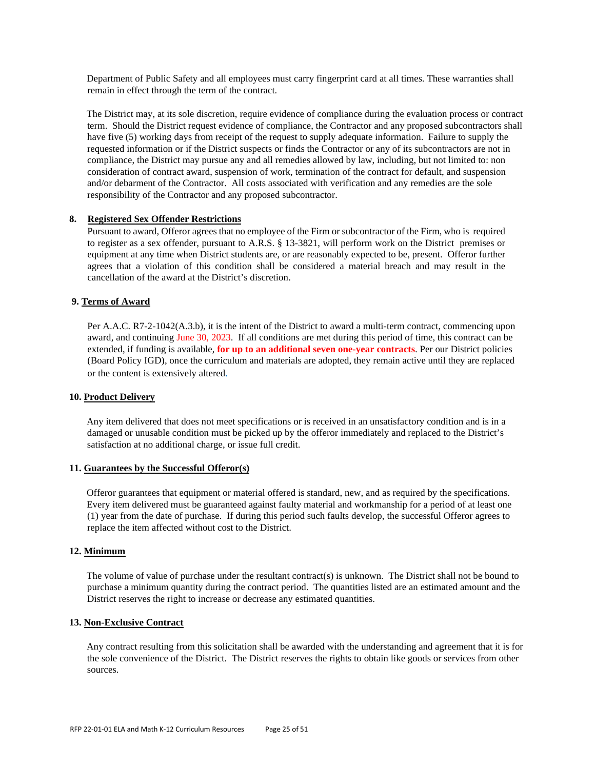Department of Public Safety and all employees must carry fingerprint card at all times. These warranties shall remain in effect through the term of the contract.

The District may, at its sole discretion, require evidence of compliance during the evaluation process or contract term. Should the District request evidence of compliance, the Contractor and any proposed subcontractors shall have five (5) working days from receipt of the request to supply adequate information. Failure to supply the requested information or if the District suspects or finds the Contractor or any of its subcontractors are not in compliance, the District may pursue any and all remedies allowed by law, including, but not limited to: non consideration of contract award, suspension of work, termination of the contract for default, and suspension and/or debarment of the Contractor. All costs associated with verification and any remedies are the sole responsibility of the Contractor and any proposed subcontractor.

# **8. Registered Sex Offender Restrictions**

Pursuant to award, Offeror agrees that no employee of the Firm or subcontractor of the Firm, who is required to register as a sex offender, pursuant to A.R.S. § 13-3821, will perform work on the District premises or equipment at any time when District students are, or are reasonably expected to be, present. Offeror further agrees that a violation of this condition shall be considered a material breach and may result in the cancellation of the award at the District's discretion.

### **9. Terms of Award**

Per A.A.C. R7-2-1042(A.3.b), it is the intent of the District to award a multi-term contract, commencing upon award, and continuing June 30, 2023. If all conditions are met during this period of time, this contract can be extended, if funding is available, **for up to an additional seven one-year contracts**. Per our District policies (Board Policy IGD), once the curriculum and materials are adopted, they remain active until they are replaced or the content is extensively altered*.*

#### **10. Product Delivery**

Any item delivered that does not meet specifications or is received in an unsatisfactory condition and is in a damaged or unusable condition must be picked up by the offeror immediately and replaced to the District's satisfaction at no additional charge, or issue full credit.

#### **11. Guarantees by the Successful Offeror(s)**

Offeror guarantees that equipment or material offered is standard, new, and as required by the specifications. Every item delivered must be guaranteed against faulty material and workmanship for a period of at least one (1) year from the date of purchase. If during this period such faults develop, the successful Offeror agrees to replace the item affected without cost to the District.

#### **12. Minimum**

The volume of value of purchase under the resultant contract(s) is unknown. The District shall not be bound to purchase a minimum quantity during the contract period. The quantities listed are an estimated amount and the District reserves the right to increase or decrease any estimated quantities.

#### **13. Non-Exclusive Contract**

Any contract resulting from this solicitation shall be awarded with the understanding and agreement that it is for the sole convenience of the District. The District reserves the rights to obtain like goods or services from other sources.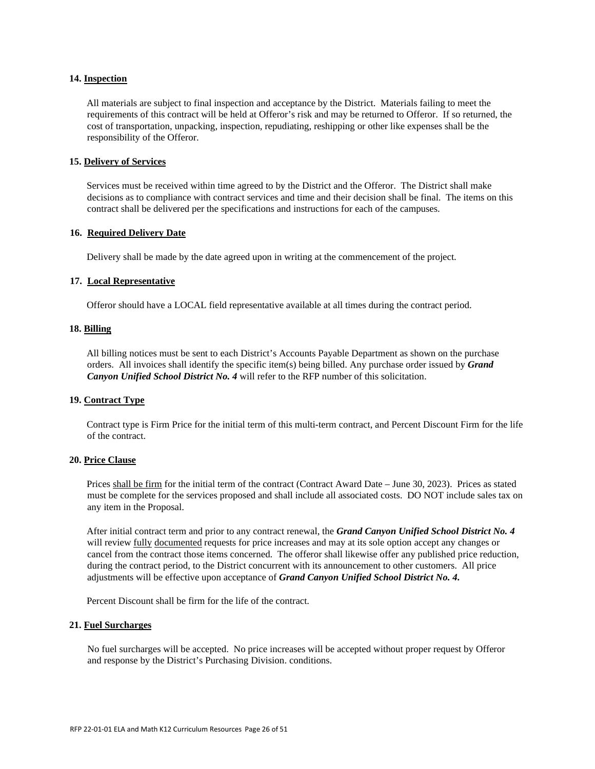#### **14. Inspection**

All materials are subject to final inspection and acceptance by the District. Materials failing to meet the requirements of this contract will be held at Offeror's risk and may be returned to Offeror. If so returned, the cost of transportation, unpacking, inspection, repudiating, reshipping or other like expenses shall be the responsibility of the Offeror.

#### **15. Delivery of Services**

Services must be received within time agreed to by the District and the Offeror. The District shall make decisions as to compliance with contract services and time and their decision shall be final. The items on this contract shall be delivered per the specifications and instructions for each of the campuses.

#### **16. Required Delivery Date**

Delivery shall be made by the date agreed upon in writing at the commencement of the project.

# **17. Local Representative**

Offeror should have a LOCAL field representative available at all times during the contract period.

#### **18. Billing**

All billing notices must be sent to each District's Accounts Payable Department as shown on the purchase orders. All invoices shall identify the specific item(s) being billed. Any purchase order issued by *Grand Canyon Unified School District No. 4* will refer to the RFP number of this solicitation.

# **19. Contract Type**

Contract type is Firm Price for the initial term of this multi-term contract, and Percent Discount Firm for the life of the contract.

#### **20. Price Clause**

Prices shall be firm for the initial term of the contract (Contract Award Date – June 30, 2023). Prices as stated must be complete for the services proposed and shall include all associated costs. DO NOT include sales tax on any item in the Proposal.

After initial contract term and prior to any contract renewal, the *Grand Canyon Unified School District No. 4* will review <u>fully documented</u> requests for price increases and may at its sole option accept any changes or cancel from the contract those items concerned. The offeror shall likewise offer any published price reduction, during the contract period, to the District concurrent with its announcement to other customers. All price adjustments will be effective upon acceptance of *Grand Canyon Unified School District No. 4.*

Percent Discount shall be firm for the life of the contract.

#### **21. Fuel Surcharges**

No fuel surcharges will be accepted. No price increases will be accepted without proper request by Offeror and response by the District's Purchasing Division. conditions.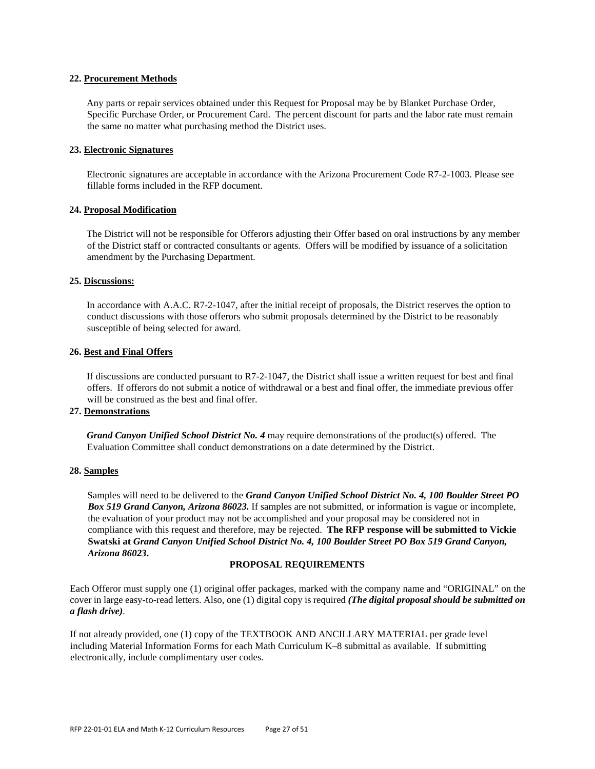#### **22. Procurement Methods**

Any parts or repair services obtained under this Request for Proposal may be by Blanket Purchase Order, Specific Purchase Order, or Procurement Card. The percent discount for parts and the labor rate must remain the same no matter what purchasing method the District uses.

#### **23. Electronic Signatures**

Electronic signatures are acceptable in accordance with the Arizona Procurement Code R7-2-1003. Please see fillable forms included in the RFP document.

#### **24. Proposal Modification**

The District will not be responsible for Offerors adjusting their Offer based on oral instructions by any member of the District staff or contracted consultants or agents. Offers will be modified by issuance of a solicitation amendment by the Purchasing Department.

#### **25. Discussions:**

In accordance with A.A.C. R7-2-1047, after the initial receipt of proposals, the District reserves the option to conduct discussions with those offerors who submit proposals determined by the District to be reasonably susceptible of being selected for award.

# **26. Best and Final Offers**

If discussions are conducted pursuant to R7-2-1047, the District shall issue a written request for best and final offers. If offerors do not submit a notice of withdrawal or a best and final offer, the immediate previous offer will be construed as the best and final offer.

# **27. Demonstrations**

*Grand Canyon Unified School District No. 4* may require demonstrations of the product(s) offered. The Evaluation Committee shall conduct demonstrations on a date determined by the District.

#### **28. Samples**

Samples will need to be delivered to the *Grand Canyon Unified School District No. 4, 100 Boulder Street PO Box 519 Grand Canyon, Arizona 86023.* If samples are not submitted, or information is vague or incomplete, the evaluation of your product may not be accomplished and your proposal may be considered not in compliance with this request and therefore, may be rejected. **The RFP response will be submitted to Vickie Swatski at** *Grand Canyon Unified School District No. 4, 100 Boulder Street PO Box 519 Grand Canyon, Arizona 86023***.** 

#### **PROPOSAL REQUIREMENTS**

Each Offeror must supply one (1) original offer packages, marked with the company name and "ORIGINAL" on the cover in large easy-to-read letters. Also, one (1) digital copy is required *(The digital proposal should be submitted on a flash drive).*

If not already provided, one (1) copy of the TEXTBOOK AND ANCILLARY MATERIAL per grade level including Material Information Forms for each Math Curriculum K–8 submittal as available. If submitting electronically, include complimentary user codes.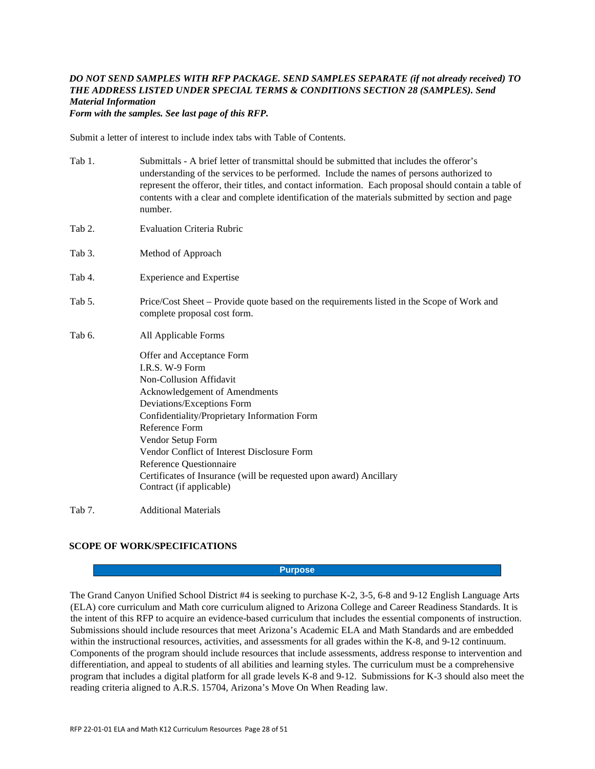# *DO NOT SEND SAMPLES WITH RFP PACKAGE. SEND SAMPLES SEPARATE (if not already received) TO THE ADDRESS LISTED UNDER SPECIAL TERMS & CONDITIONS SECTION 28 (SAMPLES). Send Material Information*

*Form with the samples. See last page of this RFP.*

Submit a letter of interest to include index tabs with Table of Contents.

- Tab 1. Submittals A brief letter of transmittal should be submitted that includes the offeror's understanding of the services to be performed. Include the names of persons authorized to represent the offeror, their titles, and contact information. Each proposal should contain a table of contents with a clear and complete identification of the materials submitted by section and page number.
- Tab 2. Evaluation Criteria Rubric
- Tab 3. Method of Approach
- Tab 4. Experience and Expertise
- Tab 5. Price/Cost Sheet Provide quote based on the requirements listed in the Scope of Work and complete proposal cost form.
- Tab 6. All Applicable Forms
	- Offer and Acceptance Form I.R.S. W-9 Form Non-Collusion Affidavit Acknowledgement of Amendments Deviations/Exceptions Form Confidentiality/Proprietary Information Form Reference Form Vendor Setup Form Vendor Conflict of Interest Disclosure Form Reference Questionnaire Certificates of Insurance (will be requested upon award) Ancillary Contract (if applicable)

Tab 7. Additional Materials

# **SCOPE OF WORK/SPECIFICATIONS**

#### **Purpose**

The Grand Canyon Unified School District #4 is seeking to purchase K-2, 3-5, 6-8 and 9-12 English Language Arts (ELA) core curriculum and Math core curriculum aligned to Arizona College and Career Readiness Standards. It is the intent of this RFP to acquire an evidence-based curriculum that includes the essential components of instruction. Submissions should include resources that meet Arizona's Academic ELA and Math Standards and are embedded within the instructional resources, activities, and assessments for all grades within the K-8, and 9-12 continuum. Components of the program should include resources that include assessments, address response to intervention and differentiation, and appeal to students of all abilities and learning styles. The curriculum must be a comprehensive program that includes a digital platform for all grade levels K-8 and 9-12. Submissions for K-3 should also meet the reading criteria aligned to A.R.S. 15704, Arizona's Move On When Reading law.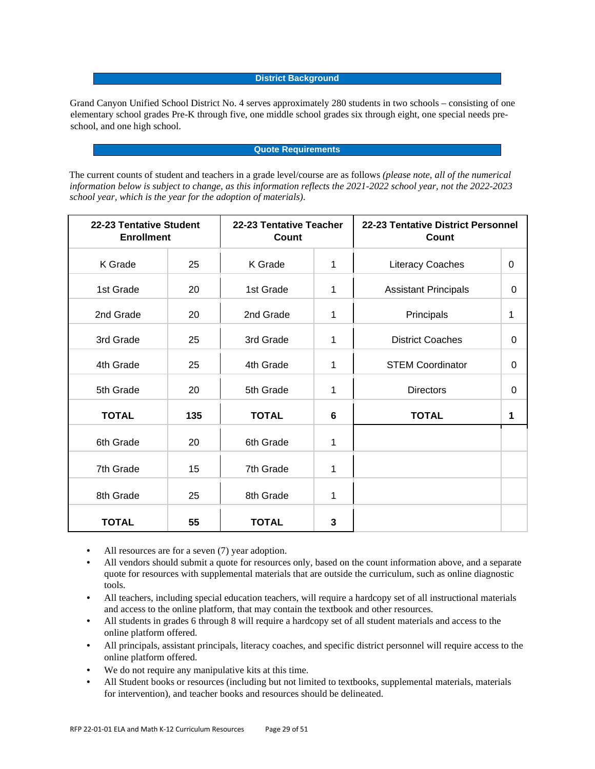#### **District Background**

Grand Canyon Unified School District No. 4 serves approximately 280 students in two schools – consisting of one elementary school grades Pre-K through five, one middle school grades six through eight, one special needs preschool, and one high school.

#### **Quote Requirements**

The current counts of student and teachers in a grade level/course are as follows *(please note, all of the numerical information below is subject to change, as this information reflects the 2021-2022 school year, not the 2022-2023 school year, which is the year for the adoption of materials)*.

| 22-23 Tentative Student<br><b>Enrollment</b> |     | 22-23 Tentative Teacher<br>Count |   | 22-23 Tentative District Personnel<br>Count |   |  |
|----------------------------------------------|-----|----------------------------------|---|---------------------------------------------|---|--|
| K Grade                                      | 25  | K Grade                          | 1 | <b>Literacy Coaches</b>                     | 0 |  |
| 1st Grade                                    | 20  | 1st Grade                        | 1 | <b>Assistant Principals</b>                 | 0 |  |
| 2nd Grade                                    | 20  | 2nd Grade                        | 1 | Principals                                  | 1 |  |
| 3rd Grade                                    | 25  | 3rd Grade                        | 1 | <b>District Coaches</b>                     | 0 |  |
| 4th Grade                                    | 25  | 4th Grade                        | 1 | <b>STEM Coordinator</b>                     | 0 |  |
| 5th Grade                                    | 20  | 5th Grade                        | 1 | <b>Directors</b>                            | 0 |  |
| <b>TOTAL</b>                                 | 135 | <b>TOTAL</b>                     | 6 | <b>TOTAL</b>                                | 1 |  |
| 6th Grade                                    | 20  | 6th Grade                        | 1 |                                             |   |  |
| 7th Grade                                    | 15  | 7th Grade                        | 1 |                                             |   |  |
| 8th Grade                                    | 25  | 8th Grade                        | 1 |                                             |   |  |
| <b>TOTAL</b>                                 | 55  | <b>TOTAL</b>                     | 3 |                                             |   |  |

- All resources are for a seven (7) year adoption.
- All vendors should submit a quote for resources only, based on the count information above, and a separate quote for resources with supplemental materials that are outside the curriculum, such as online diagnostic tools.
- All teachers, including special education teachers, will require a hardcopy set of all instructional materials and access to the online platform, that may contain the textbook and other resources.
- All students in grades 6 through 8 will require a hardcopy set of all student materials and access to the online platform offered.
- All principals, assistant principals, literacy coaches, and specific district personnel will require access to the online platform offered.
- We do not require any manipulative kits at this time.
- All Student books or resources (including but not limited to textbooks, supplemental materials, materials for intervention), and teacher books and resources should be delineated.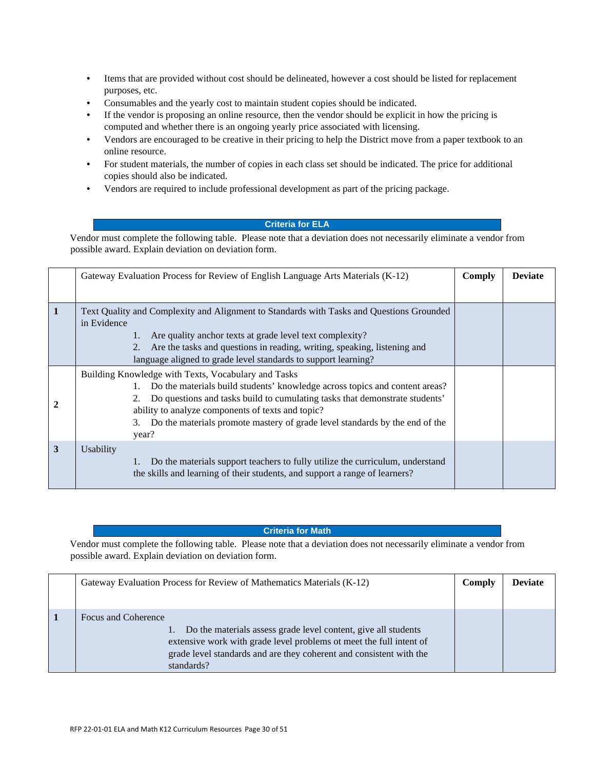- Items that are provided without cost should be delineated, however a cost should be listed for replacement purposes, etc.
- Consumables and the yearly cost to maintain student copies should be indicated.
- If the vendor is proposing an online resource, then the vendor should be explicit in how the pricing is computed and whether there is an ongoing yearly price associated with licensing.
- Vendors are encouraged to be creative in their pricing to help the District move from a paper textbook to an online resource.
- For student materials, the number of copies in each class set should be indicated. The price for additional copies should also be indicated.
- Vendors are required to include professional development as part of the pricing package.

# **Criteria for ELA**

Vendor must complete the following table. Please note that a deviation does not necessarily eliminate a vendor from possible award. Explain deviation on deviation form.

|                | Gateway Evaluation Process for Review of English Language Arts Materials (K-12)                                                                                                                                                                                                                                                                                   | Comply | <b>Deviate</b> |
|----------------|-------------------------------------------------------------------------------------------------------------------------------------------------------------------------------------------------------------------------------------------------------------------------------------------------------------------------------------------------------------------|--------|----------------|
|                |                                                                                                                                                                                                                                                                                                                                                                   |        |                |
| $\blacksquare$ | Text Quality and Complexity and Alignment to Standards with Tasks and Questions Grounded<br>in Evidence<br>Are quality anchor texts at grade level text complexity?<br>1.<br>Are the tasks and questions in reading, writing, speaking, listening and<br>2.<br>language aligned to grade level standards to support learning?                                     |        |                |
|                | Building Knowledge with Texts, Vocabulary and Tasks<br>Do the materials build students' knowledge across topics and content areas?<br>Do questions and tasks build to cumulating tasks that demonstrate students'<br>ability to analyze components of texts and topic?<br>3. Do the materials promote mastery of grade level standards by the end of the<br>year? |        |                |
| 3              | Usability<br>Do the materials support teachers to fully utilize the curriculum, understand<br>the skills and learning of their students, and support a range of learners?                                                                                                                                                                                         |        |                |

#### **Criteria for Math**

Vendor must complete the following table. Please note that a deviation does not necessarily eliminate a vendor from possible award. Explain deviation on deviation form.

| Gateway Evaluation Process for Review of Mathematics Materials (K-12)                                                                                                                                                                             | Comply | <b>Deviate</b> |
|---------------------------------------------------------------------------------------------------------------------------------------------------------------------------------------------------------------------------------------------------|--------|----------------|
| Focus and Coherence<br>Do the materials assess grade level content, give all students<br>extensive work with grade level problems ot meet the full intent of<br>grade level standards and are they coherent and consistent with the<br>standards? |        |                |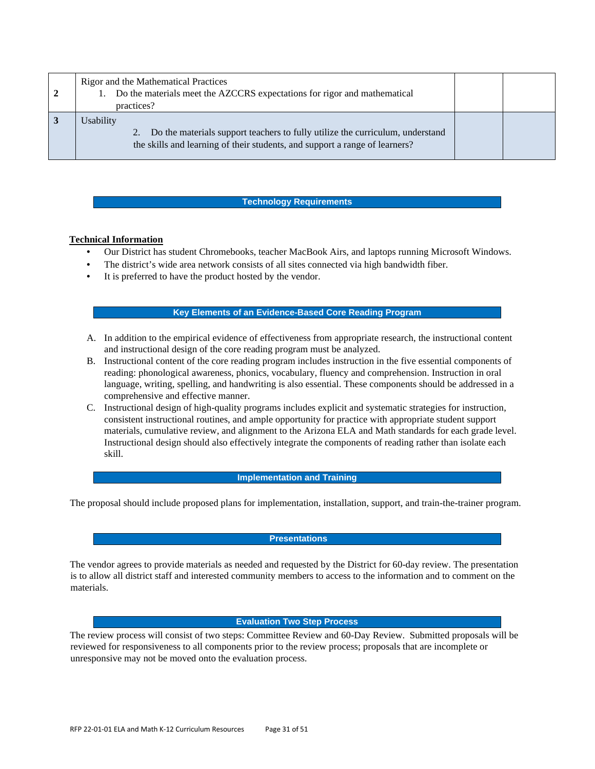| 2 | Rigor and the Mathematical Practices<br>Do the materials meet the AZCCRS expectations for rigor and mathematical<br>practices?                                            |  |
|---|---------------------------------------------------------------------------------------------------------------------------------------------------------------------------|--|
|   | Usability<br>Do the materials support teachers to fully utilize the curriculum, understand<br>the skills and learning of their students, and support a range of learners? |  |

#### **Technology Requirements**

# **Technical Information**

- Our District has student Chromebooks, teacher MacBook Airs, and laptops running Microsoft Windows.
- The district's wide area network consists of all sites connected via high bandwidth fiber.
- It is preferred to have the product hosted by the vendor.

#### **Key Elements of an Evidence-Based Core Reading Program**

- A. In addition to the empirical evidence of effectiveness from appropriate research, the instructional content and instructional design of the core reading program must be analyzed.
- B. Instructional content of the core reading program includes instruction in the five essential components of reading: phonological awareness, phonics, vocabulary, fluency and comprehension. Instruction in oral language, writing, spelling, and handwriting is also essential. These components should be addressed in a comprehensive and effective manner.
- C. Instructional design of high-quality programs includes explicit and systematic strategies for instruction, consistent instructional routines, and ample opportunity for practice with appropriate student support materials, cumulative review, and alignment to the Arizona ELA and Math standards for each grade level. Instructional design should also effectively integrate the components of reading rather than isolate each skill.

# **Implementation and Training**

The proposal should include proposed plans for implementation, installation, support, and train-the-trainer program.

# **Presentations**

The vendor agrees to provide materials as needed and requested by the District for 60-day review. The presentation is to allow all district staff and interested community members to access to the information and to comment on the materials.

#### **Evaluation Two Step Process**

The review process will consist of two steps: Committee Review and 60-Day Review. Submitted proposals will be reviewed for responsiveness to all components prior to the review process; proposals that are incomplete or unresponsive may not be moved onto the evaluation process.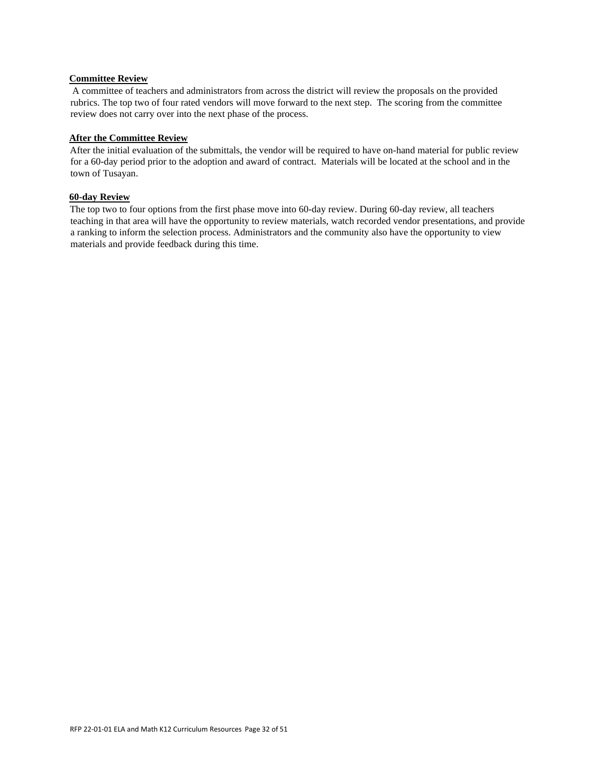#### **Committee Review**

A committee of teachers and administrators from across the district will review the proposals on the provided rubrics. The top two of four rated vendors will move forward to the next step. The scoring from the committee review does not carry over into the next phase of the process.

# **After the Committee Review**

After the initial evaluation of the submittals, the vendor will be required to have on-hand material for public review for a 60-day period prior to the adoption and award of contract. Materials will be located at the school and in the town of Tusayan.

# **60-day Review**

The top two to four options from the first phase move into 60-day review. During 60-day review, all teachers teaching in that area will have the opportunity to review materials, watch recorded vendor presentations, and provide a ranking to inform the selection process. Administrators and the community also have the opportunity to view materials and provide feedback during this time.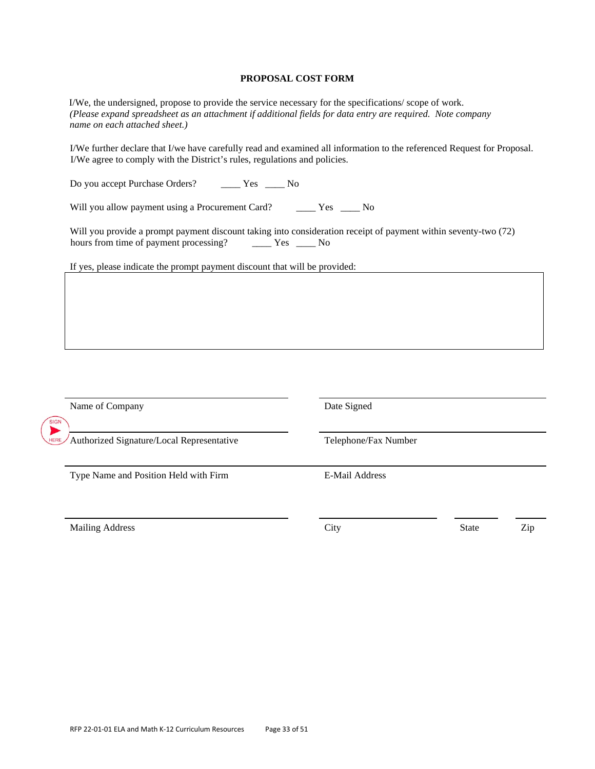#### **PROPOSAL COST FORM**

I/We, the undersigned, propose to provide the service necessary for the specifications/ scope of work. *(Please expand spreadsheet as an attachment if additional fields for data entry are required. Note company name on each attached sheet.)* 

I/We further declare that I/we have carefully read and examined all information to the referenced Request for Proposal. I/We agree to comply with the District's rules, regulations and policies.

Do you accept Purchase Orders? \_\_\_\_ Yes \_\_\_\_ No

Will you allow payment using a Procurement Card? \_\_\_\_\_ Yes \_\_\_\_ No

Will you provide a prompt payment discount taking into consideration receipt of payment within seventy-two (72) hours from time of payment processing? \_\_\_\_\_ Yes \_\_\_\_ No

If yes, please indicate the prompt payment discount that will be provided:

| Name of Company<br>SIGN                                       | Date Signed<br>Telephone/Fax Number |              |     |  |  |
|---------------------------------------------------------------|-------------------------------------|--------------|-----|--|--|
| ▶<br>Authorized Signature/Local Representative<br><b>HERE</b> |                                     |              |     |  |  |
| Type Name and Position Held with Firm                         | E-Mail Address                      |              |     |  |  |
| <b>Mailing Address</b>                                        | City                                | <b>State</b> | Zip |  |  |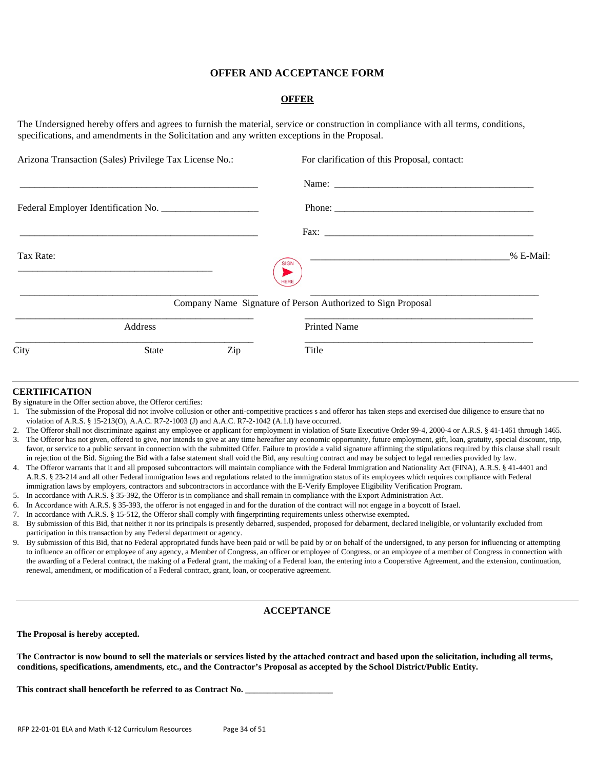# **OFFER AND ACCEPTANCE FORM**

### **OFFER**

The Undersigned hereby offers and agrees to furnish the material, service or construction in compliance with all terms, conditions, specifications, and amendments in the Solicitation and any written exceptions in the Proposal.

| Arizona Transaction (Sales) Privilege Tax License No.: | For clarification of this Proposal, contact:                 |
|--------------------------------------------------------|--------------------------------------------------------------|
|                                                        |                                                              |
|                                                        |                                                              |
|                                                        |                                                              |
| Tax Rate:                                              | % E-Mail:                                                    |
|                                                        | Company Name Signature of Person Authorized to Sign Proposal |
| Address                                                | <b>Printed Name</b>                                          |
| City<br>Zip<br>State                                   | Title                                                        |

#### **CERTIFICATION**

By signature in the Offer section above, the Offeror certifies:

- 1. The submission of the Proposal did not involve collusion or other anti-competitive practices s and offeror has taken steps and exercised due diligence to ensure that no violation of A.R.S. § 15-213(O), A.A.C. R7-2-1003 (J) and A.A.C. R7-2-1042 (A.1.l) have occurred.
- 2. The Offeror shall not discriminate against any employee or applicant for employment in violation of State Executive Order 99-4, 2000-4 or A.R.S. § 41-1461 through 1465.
- 3. The Offeror has not given, offered to give, nor intends to give at any time hereafter any economic opportunity, future employment, gift, loan, gratuity, special discount, trip, favor, or service to a public servant in connection with the submitted Offer. Failure to provide a valid signature affirming the stipulations required by this clause shall result in rejection of the Bid. Signing the Bid with a false statement shall void the Bid, any resulting contract and may be subject to legal remedies provided by law.
- 4. The Offeror warrants that it and all proposed subcontractors will maintain compliance with the Federal Immigration and Nationality Act (FINA), A.R.S. § 41-4401 and A.R.S. § 23-214 and all other Federal immigration laws and regulations related to the immigration status of its employees which requires compliance with Federal immigration laws by employers, contractors and subcontractors in accordance with the E-Verify Employee Eligibility Verification Program.
- 5. In accordance with A.R.S. § 35-392, the Offeror is in compliance and shall remain in compliance with the Export Administration Act.
- 6. In Accordance with A.R.S. § 35-393, the offeror is not engaged in and for the duration of the contract will not engage in a boycott of Israel.
- 7. In accordance with A.R.S. § 15-512, the Offeror shall comply with fingerprinting requirements unless otherwise exempted**.**
- 8. By submission of this Bid, that neither it nor its principals is presently debarred, suspended, proposed for debarment, declared ineligible, or voluntarily excluded from participation in this transaction by any Federal department or agency.
- 9. By submission of this Bid, that no Federal appropriated funds have been paid or will be paid by or on behalf of the undersigned, to any person for influencing or attempting to influence an officer or employee of any agency, a Member of Congress, an officer or employee of Congress, or an employee of a member of Congress in connection with the awarding of a Federal contract, the making of a Federal grant, the making of a Federal loan, the entering into a Cooperative Agreement, and the extension, continuation, renewal, amendment, or modification of a Federal contract, grant, loan, or cooperative agreement.

#### **ACCEPTANCE**

#### **The Proposal is hereby accepted.**

**The Contractor is now bound to sell the materials or services listed by the attached contract and based upon the solicitation, including all terms, conditions, specifications, amendments, etc., and the Contractor's Proposal as accepted by the School District/Public Entity.** 

This contract shall henceforth be referred to as Contract No. \_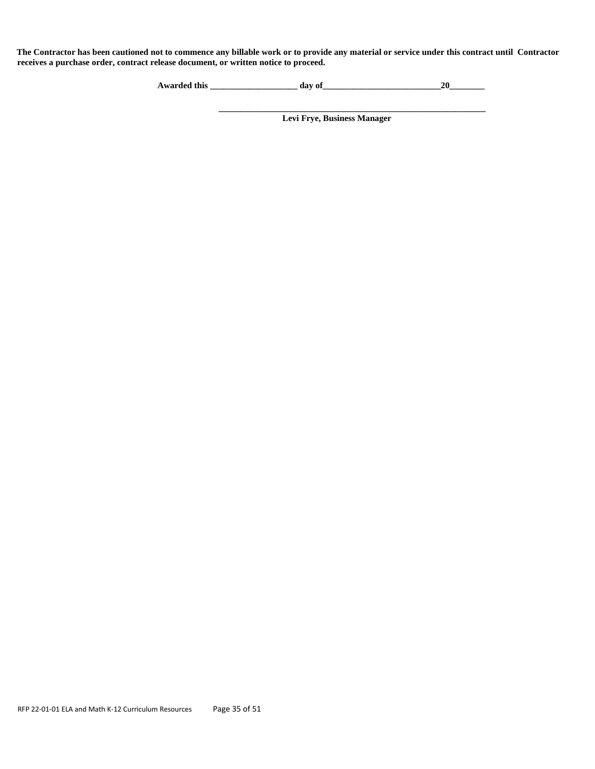**The Contractor has been cautioned not to commence any billable work or to provide any material or service under this contract until Contractor receives a purchase order, contract release document, or written notice to proceed.** 

| <b>Awarded this</b> | $\Omega$ |  |  |
|---------------------|----------|--|--|
|---------------------|----------|--|--|

**Levi Frye, Business Manager**

**\_\_\_\_\_\_\_\_\_\_\_\_\_\_\_\_\_\_\_\_\_\_\_\_\_\_\_\_\_\_\_\_\_\_\_\_\_\_\_\_\_\_\_\_\_\_\_\_\_\_\_\_\_\_\_\_\_\_\_\_\_**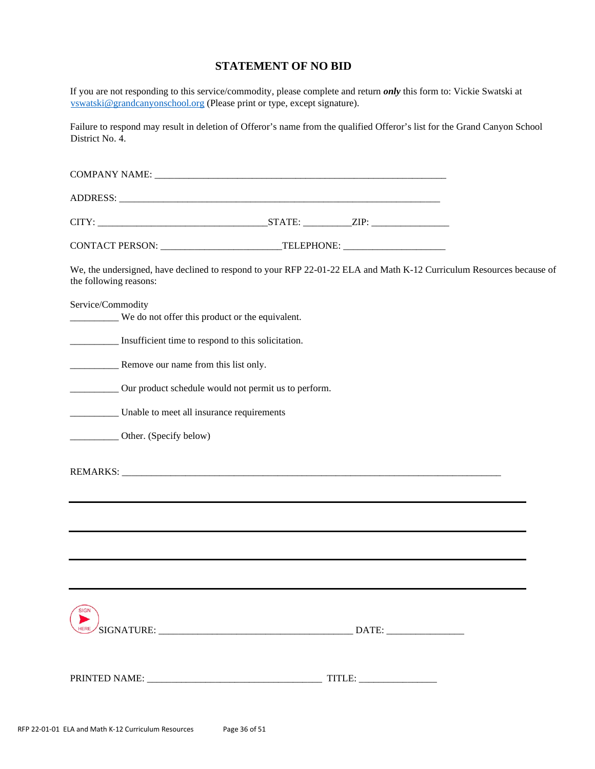# **STATEMENT OF NO BID**

If you are not responding to this service/commodity, please complete and return *only* this form to: Vickie Swatski at [vswatski@grandcanyonschool.org](mailto:vswatski@grandcanyonschool.org) (Please print or type, except signature).

Failure to respond may result in deletion of Offeror's name from the qualified Offeror's list for the Grand Canyon School District No. 4.

| the following reasons: |                        | We, the undersigned, have declined to respond to your RFP 22-01-22 ELA and Math K-12 Curriculum Resources because of |  |  |  |
|------------------------|------------------------|----------------------------------------------------------------------------------------------------------------------|--|--|--|
| Service/Commodity      |                        | We do not offer this product or the equivalent.                                                                      |  |  |  |
|                        |                        | Insufficient time to respond to this solicitation.                                                                   |  |  |  |
|                        |                        |                                                                                                                      |  |  |  |
|                        |                        | ____________ Our product schedule would not permit us to perform.                                                    |  |  |  |
|                        |                        | Unable to meet all insurance requirements                                                                            |  |  |  |
|                        | Other. (Specify below) |                                                                                                                      |  |  |  |
|                        |                        |                                                                                                                      |  |  |  |
|                        |                        |                                                                                                                      |  |  |  |
|                        |                        |                                                                                                                      |  |  |  |
|                        |                        |                                                                                                                      |  |  |  |
| SIGN                   |                        |                                                                                                                      |  |  |  |
|                        |                        |                                                                                                                      |  |  |  |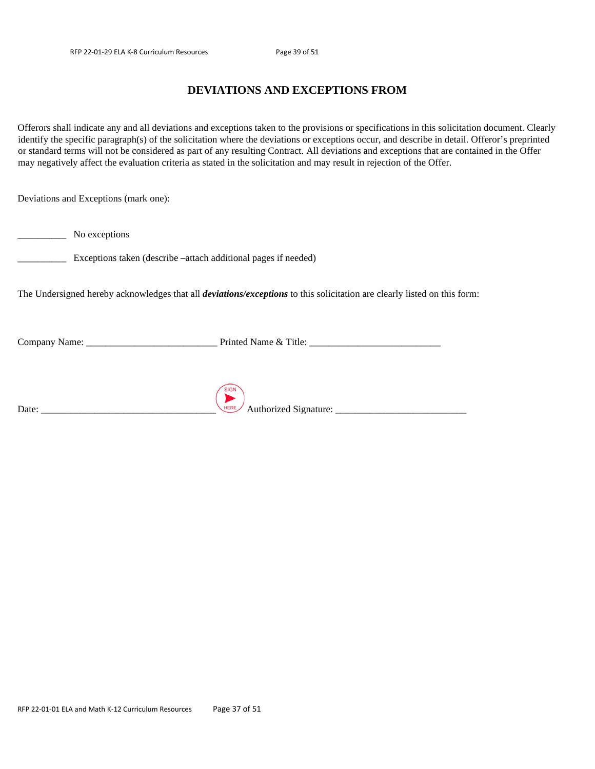# **DEVIATIONS AND EXCEPTIONS FROM**

Offerors shall indicate any and all deviations and exceptions taken to the provisions or specifications in this solicitation document. Clearly identify the specific paragraph(s) of the solicitation where the deviations or exceptions occur, and describe in detail. Offeror's preprinted or standard terms will not be considered as part of any resulting Contract. All deviations and exceptions that are contained in the Offer may negatively affect the evaluation criteria as stated in the solicitation and may result in rejection of the Offer.

Deviations and Exceptions (mark one):

\_\_\_\_\_\_\_\_\_\_ No exceptions

\_\_\_\_\_\_\_\_\_\_ Exceptions taken (describe –attach additional pages if needed)

The Undersigned hereby acknowledges that all *deviations/exceptions* to this solicitation are clearly listed on this form:

Company Name: \_\_\_\_\_\_\_\_\_\_\_\_\_\_\_\_\_\_\_\_\_\_\_\_\_\_\_ Printed Name & Title: \_\_\_\_\_\_\_\_\_\_\_\_\_\_\_\_\_\_\_\_\_\_\_\_\_\_\_

| Date: |  |  |  |
|-------|--|--|--|

Date: \_\_\_\_\_\_\_\_\_\_\_\_\_\_\_\_\_\_\_\_\_\_\_\_\_\_\_\_\_\_\_\_\_\_\_\_ Authorized Signature: \_\_\_\_\_\_\_\_\_\_\_\_\_\_\_\_\_\_\_\_\_\_\_\_\_\_\_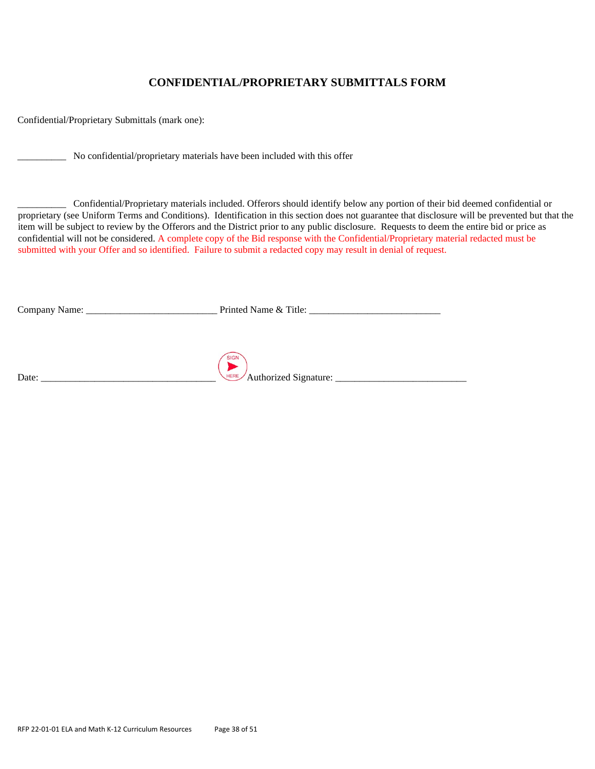# **CONFIDENTIAL/PROPRIETARY SUBMITTALS FORM**

Confidential/Proprietary Submittals (mark one):

\_\_\_\_\_\_\_\_\_\_ No confidential/proprietary materials have been included with this offer

\_\_\_\_\_\_\_\_\_\_ Confidential/Proprietary materials included. Offerors should identify below any portion of their bid deemed confidential or proprietary (see Uniform Terms and Conditions). Identification in this section does not guarantee that disclosure will be prevented but that the item will be subject to review by the Offerors and the District prior to any public disclosure. Requests to deem the entire bid or price as confidential will not be considered. A complete copy of the Bid response with the Confidential/Proprietary material redacted must be submitted with your Offer and so identified. Failure to submit a redacted copy may result in denial of request.

| $\overline{\phantom{0}}$<br>,<br>н<br>на<br>__ | ше<br>~<br>.<br>- - |  |
|------------------------------------------------|---------------------|--|
|                                                |                     |  |

|             | SIGN                                    |
|-------------|-----------------------------------------|
| Date:<br>__ | <b>HERE</b><br>thorizad<br>∠nature<br>. |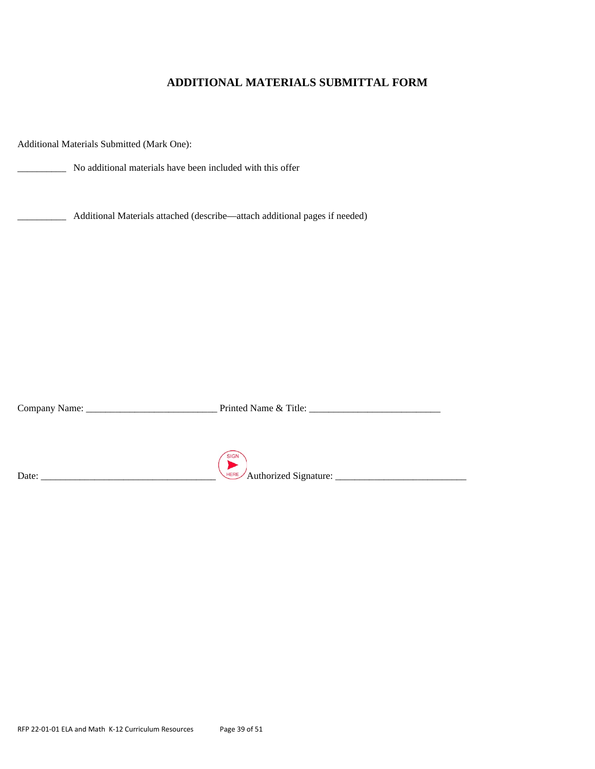# **ADDITIONAL MATERIALS SUBMITTAL FORM**

Additional Materials Submitted (Mark One):

\_\_\_\_\_\_\_\_\_\_ No additional materials have been included with this offer

\_\_\_\_\_\_\_\_\_\_ Additional Materials attached (describe—attach additional pages if needed)

Company Name: \_\_\_\_\_\_\_\_\_\_\_\_\_\_\_\_\_\_\_\_\_\_\_\_\_\_\_ Printed Name & Title: \_\_\_\_\_\_\_\_\_\_\_\_\_\_\_\_\_\_\_\_\_\_\_\_\_\_\_ SIGN Date: \_\_\_\_\_\_\_\_\_\_\_\_\_\_\_\_\_\_\_\_\_\_\_\_\_\_\_\_\_\_\_\_\_\_\_\_ Authorized Signature: \_\_\_\_\_\_\_\_\_\_\_\_\_\_\_\_\_\_\_\_\_\_\_\_\_\_\_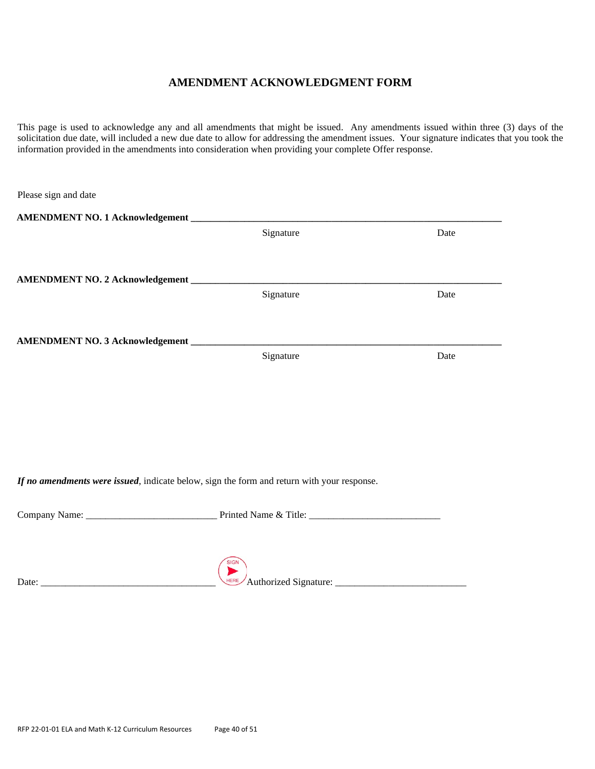# **AMENDMENT ACKNOWLEDGMENT FORM**

This page is used to acknowledge any and all amendments that might be issued. Any amendments issued within three (3) days of the solicitation due date, will included a new due date to allow for addressing the amendment issues. Your signature indicates that you took the information provided in the amendments into consideration when providing your complete Offer response.

| Please sign and date                                                                       |           |      |
|--------------------------------------------------------------------------------------------|-----------|------|
|                                                                                            |           |      |
|                                                                                            | Signature | Date |
|                                                                                            |           |      |
|                                                                                            |           |      |
|                                                                                            | Signature | Date |
|                                                                                            |           |      |
|                                                                                            |           |      |
|                                                                                            | Signature | Date |
|                                                                                            |           |      |
|                                                                                            |           |      |
|                                                                                            |           |      |
|                                                                                            |           |      |
|                                                                                            |           |      |
|                                                                                            |           |      |
| If no amendments were issued, indicate below, sign the form and return with your response. |           |      |
|                                                                                            |           |      |
|                                                                                            |           |      |
|                                                                                            |           |      |
|                                                                                            |           |      |
|                                                                                            |           |      |
|                                                                                            |           |      |
|                                                                                            |           |      |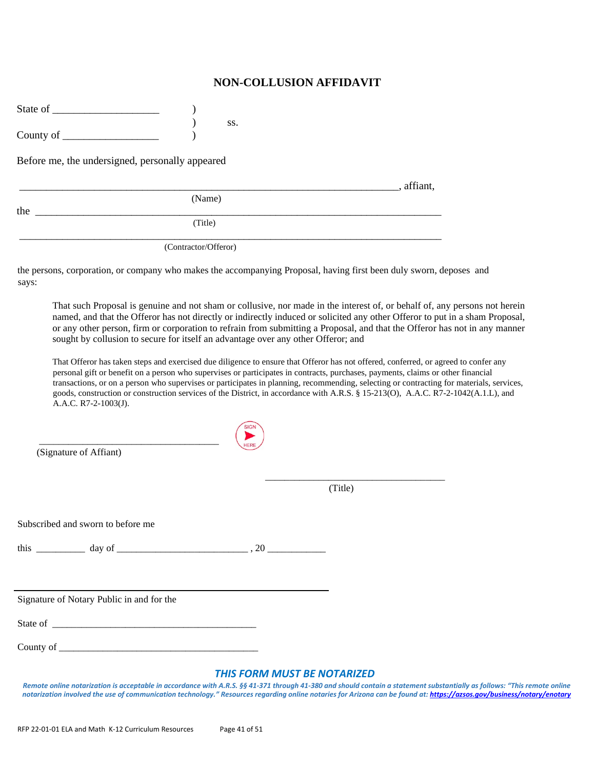# **NON-COLLUSION AFFIDAVIT**

| State of  |  |
|-----------|--|
|           |  |
| County of |  |

Before me, the undersigned, personally appeared

|     | , affiant, |  |
|-----|------------|--|
|     | (Name)     |  |
| the |            |  |
|     | (Title)    |  |
|     |            |  |

) ss.

(Contractor/Offeror)

the persons, corporation, or company who makes the accompanying Proposal, having first been duly sworn, deposes and says:

 $SIGN$ 

That such Proposal is genuine and not sham or collusive, nor made in the interest of, or behalf of, any persons not herein named, and that the Offeror has not directly or indirectly induced or solicited any other Offeror to put in a sham Proposal, or any other person, firm or corporation to refrain from submitting a Proposal, and that the Offeror has not in any manner sought by collusion to secure for itself an advantage over any other Offeror; and

That Offeror has taken steps and exercised due diligence to ensure that Offeror has not offered, conferred, or agreed to confer any personal gift or benefit on a person who supervises or participates in contracts, purchases, payments, claims or other financial transactions, or on a person who supervises or participates in planning, recommending, selecting or contracting for materials, services, goods, construction or construction services of the District, in accordance with A.R.S. § 15-213(O), A.A.C. R7-2-1042(A.1.L), and A.A.C. R7-2-1003(J).

| (Signature of Affiant)                                                                                                                                                                                                                                                                                                                             |                                    |         |  |
|----------------------------------------------------------------------------------------------------------------------------------------------------------------------------------------------------------------------------------------------------------------------------------------------------------------------------------------------------|------------------------------------|---------|--|
|                                                                                                                                                                                                                                                                                                                                                    |                                    | (Title) |  |
| Subscribed and sworn to before me                                                                                                                                                                                                                                                                                                                  |                                    |         |  |
|                                                                                                                                                                                                                                                                                                                                                    |                                    |         |  |
|                                                                                                                                                                                                                                                                                                                                                    |                                    |         |  |
| Signature of Notary Public in and for the                                                                                                                                                                                                                                                                                                          |                                    |         |  |
|                                                                                                                                                                                                                                                                                                                                                    |                                    |         |  |
|                                                                                                                                                                                                                                                                                                                                                    |                                    |         |  |
| Remote online notarization is acceptable in accordance with A.R.S. §§ 41-371 through 41-380 and should contain a statement substantially as follows: "This remote online<br>notarization involved the use of communication technology." Resources regarding online notaries for Arizona can be found at: https://azsos.gov/business/notary/enotary | <b>THIS FORM MUST BE NOTARIZED</b> |         |  |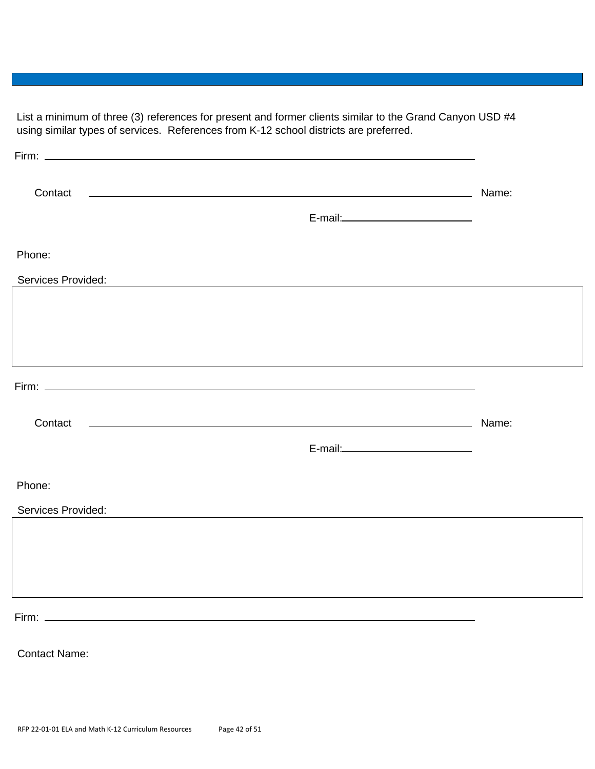List a minimum of three (3) references for present and former clients similar to the Grand Canyon USD #4 using similar types of services. References from K-12 school districts are preferred.

| Contact                                                              |                                       | Name: |
|----------------------------------------------------------------------|---------------------------------------|-------|
|                                                                      |                                       |       |
| Phone:                                                               |                                       |       |
| Services Provided:                                                   |                                       |       |
|                                                                      |                                       |       |
|                                                                      |                                       |       |
|                                                                      |                                       |       |
| Firm: $\qquad \qquad$                                                |                                       |       |
| <u> 1980 - John Stone, amerikansk politiker (d. 1980)</u><br>Contact |                                       | Name: |
|                                                                      | E-mail:______________________________ |       |
| Phone:                                                               |                                       |       |
| Services Provided:                                                   |                                       |       |
|                                                                      |                                       |       |
|                                                                      |                                       |       |
|                                                                      |                                       |       |
|                                                                      |                                       |       |
| <b>Contact Name:</b>                                                 |                                       |       |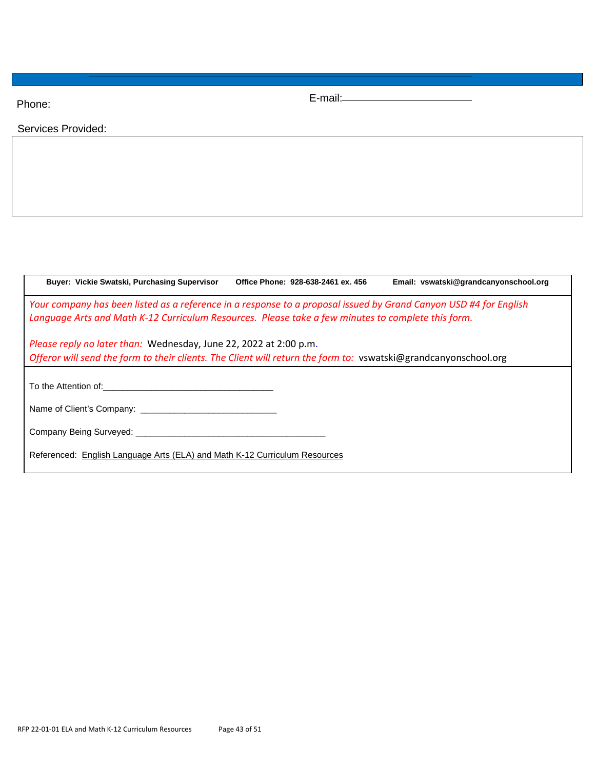Phone:

E-mail:

Services Provided:

|  | Buyer: Vickie Swatski, Purchasing Supervisor                                                       | Office Phone: 928-638-2461 ex. 456 | Email: vswatski@grandcanyonschool.org                                                                             |
|--|----------------------------------------------------------------------------------------------------|------------------------------------|-------------------------------------------------------------------------------------------------------------------|
|  | Language Arts and Math K-12 Curriculum Resources. Please take a few minutes to complete this form. |                                    | Your company has been listed as a reference in a response to a proposal issued by Grand Canyon USD #4 for English |
|  | Please reply no later than: Wednesday, June 22, 2022 at 2:00 p.m.                                  |                                    | Offeror will send the form to their clients. The Client will return the form to: vswatski@grandcanyonschool.org   |
|  |                                                                                                    |                                    |                                                                                                                   |
|  | Name of Client's Company: Name of Client's Company:                                                |                                    |                                                                                                                   |
|  |                                                                                                    |                                    |                                                                                                                   |
|  | Referenced: English Language Arts (ELA) and Math K-12 Curriculum Resources                         |                                    |                                                                                                                   |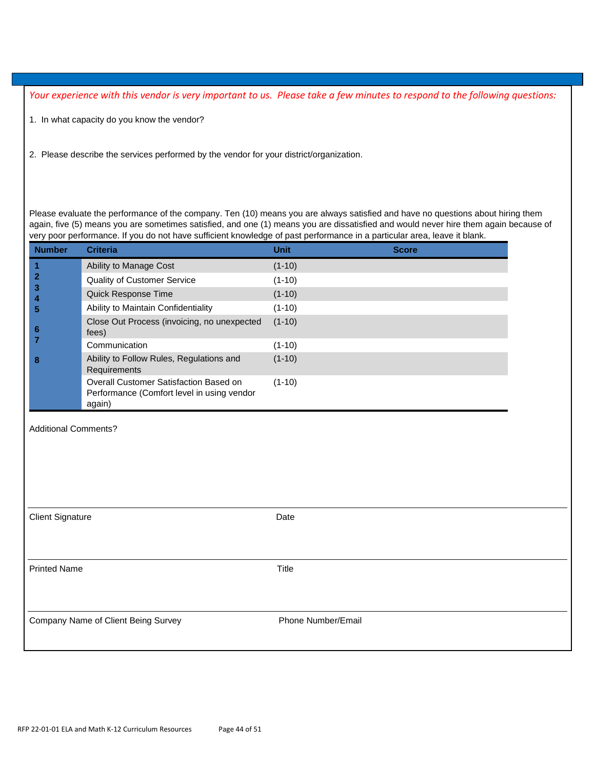*Your experience with this vendor is very important to us. Please take a few minutes to respond to the following questions:* 

- 1. In what capacity do you know the vendor?
- 2. Please describe the services performed by the vendor for your district/organization.

Please evaluate the performance of the company. Ten (10) means you are always satisfied and have no questions about hiring them again, five (5) means you are sometimes satisfied, and one (1) means you are dissatisfied and would never hire them again because of very poor performance. If you do not have sufficient knowledge of past performance in a particular area, leave it blank.

| <b>Number</b>           | <b>Criteria</b>                                                                                | <b>Unit</b>        | <b>Score</b> |
|-------------------------|------------------------------------------------------------------------------------------------|--------------------|--------------|
| $\overline{\mathbf{1}}$ | Ability to Manage Cost                                                                         | $(1-10)$           |              |
| $\mathbf{2}$            | <b>Quality of Customer Service</b>                                                             | $(1-10)$           |              |
| 3<br>4                  | Quick Response Time                                                                            | $(1-10)$           |              |
| 5                       | Ability to Maintain Confidentiality                                                            | $(1-10)$           |              |
| 6                       | Close Out Process (invoicing, no unexpected<br>fees)                                           | $(1-10)$           |              |
| $\overline{7}$          | Communication                                                                                  | $(1-10)$           |              |
| 8                       | Ability to Follow Rules, Regulations and<br>Requirements                                       | $(1-10)$           |              |
|                         | Overall Customer Satisfaction Based on<br>Performance (Comfort level in using vendor<br>again) | $(1-10)$           |              |
|                         |                                                                                                |                    |              |
| <b>Client Signature</b> |                                                                                                | Date               |              |
| <b>Printed Name</b>     |                                                                                                | <b>Title</b>       |              |
|                         | Company Name of Client Being Survey                                                            | Phone Number/Email |              |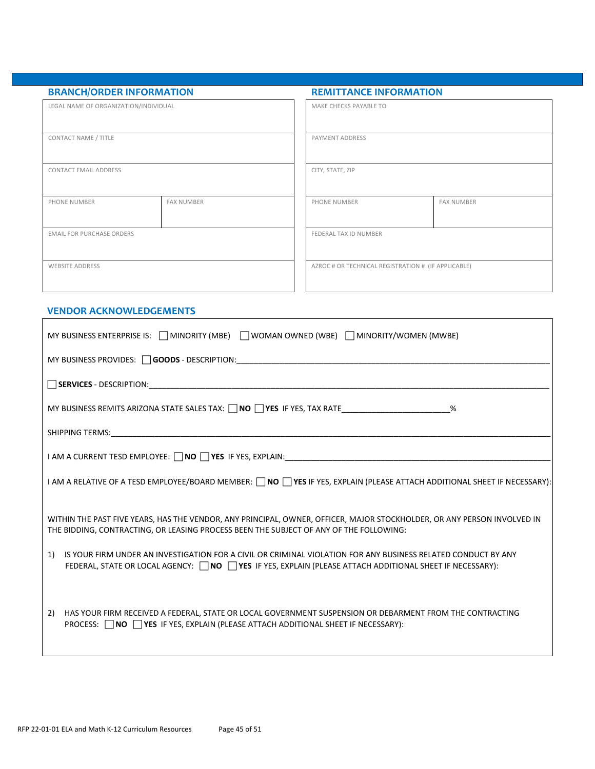| <b>BRANCH/ORDER INFORMATION</b>       |                   | <b>REMITTANCE INFORMATION</b>                       |                   |
|---------------------------------------|-------------------|-----------------------------------------------------|-------------------|
| LEGAL NAME OF ORGANIZATION/INDIVIDUAL |                   | MAKE CHECKS PAYABLE TO                              |                   |
| CONTACT NAME / TITLE                  |                   | PAYMENT ADDRESS                                     |                   |
| <b>CONTACT EMAIL ADDRESS</b>          |                   | CITY, STATE, ZIP                                    |                   |
| PHONE NUMBER                          | <b>FAX NUMBER</b> | PHONE NUMBER                                        | <b>FAX NUMBER</b> |
| <b>EMAIL FOR PURCHASE ORDERS</b>      |                   | FEDERAL TAX ID NUMBER                               |                   |
| <b>WEBSITE ADDRESS</b>                |                   | AZROC # OR TECHNICAL REGISTRATION # (IF APPLICABLE) |                   |

ī

#### **VENDOR ACKNOWLEDGEMENTS**   $\blacksquare$

| MY BUSINESS ENTERPRISE IS: $\Box$ MINORITY (MBE) $\Box$ WOMAN OWNED (WBE) $\Box$ MINORITY/WOMEN (MWBE)                                                                                                                                    |
|-------------------------------------------------------------------------------------------------------------------------------------------------------------------------------------------------------------------------------------------|
|                                                                                                                                                                                                                                           |
|                                                                                                                                                                                                                                           |
| MY BUSINESS REMITS ARIZONA STATE SALES TAX: $\Box$ NO $\Box$ YES IF YES, TAX RATE _______________________%                                                                                                                                |
|                                                                                                                                                                                                                                           |
|                                                                                                                                                                                                                                           |
| I AM A RELATIVE OF A TESD EMPLOYEE/BOARD MEMBER: □ NO □ YES IF YES, EXPLAIN (PLEASE ATTACH ADDITIONAL SHEET IF NECESSARY):                                                                                                                |
| WITHIN THE PAST FIVE YEARS, HAS THE VENDOR, ANY PRINCIPAL, OWNER, OFFICER, MAJOR STOCKHOLDER, OR ANY PERSON INVOLVED IN<br>THE BIDDING, CONTRACTING, OR LEASING PROCESS BEEN THE SUBJECT OF ANY OF THE FOLLOWING:                         |
| IS YOUR FIRM UNDER AN INVESTIGATION FOR A CIVIL OR CRIMINAL VIOLATION FOR ANY BUSINESS RELATED CONDUCT BY ANY<br>1)<br>FEDERAL, STATE OR LOCAL AGENCY: NO PES IF YES, EXPLAIN (PLEASE ATTACH ADDITIONAL SHEET IF NECESSARY):              |
| HAS YOUR FIRM RECEIVED A FEDERAL, STATE OR LOCAL GOVERNMENT SUSPENSION OR DEBARMENT FROM THE CONTRACTING<br>2)<br><b>PROCESS:</b> $\bigcap$ <b>NO</b> $\bigcap$ <b>YES</b> IF YES, EXPLAIN (PLEASE ATTACH ADDITIONAL SHEET IF NECESSARY): |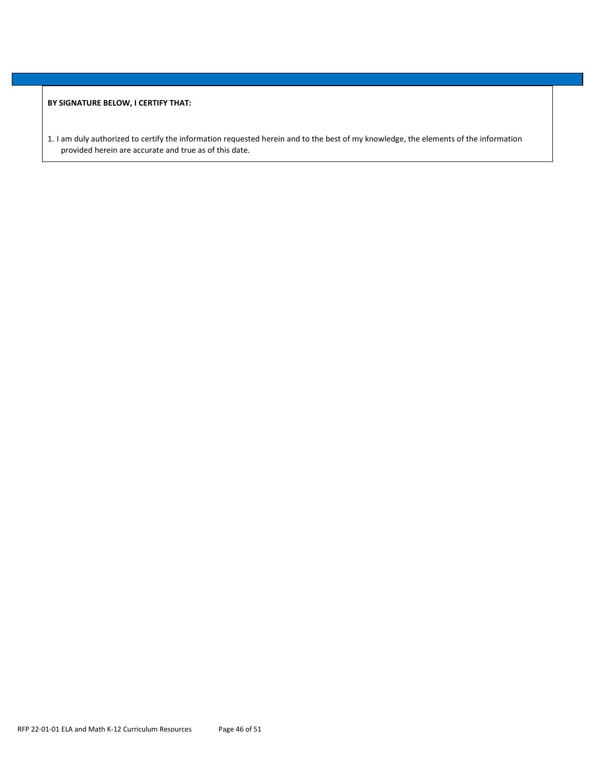**BY SIGNATURE BELOW, I CERTIFY THAT:** 

1. I am duly authorized to certify the information requested herein and to the best of my knowledge, the elements of the information provided herein are accurate and true as of this date.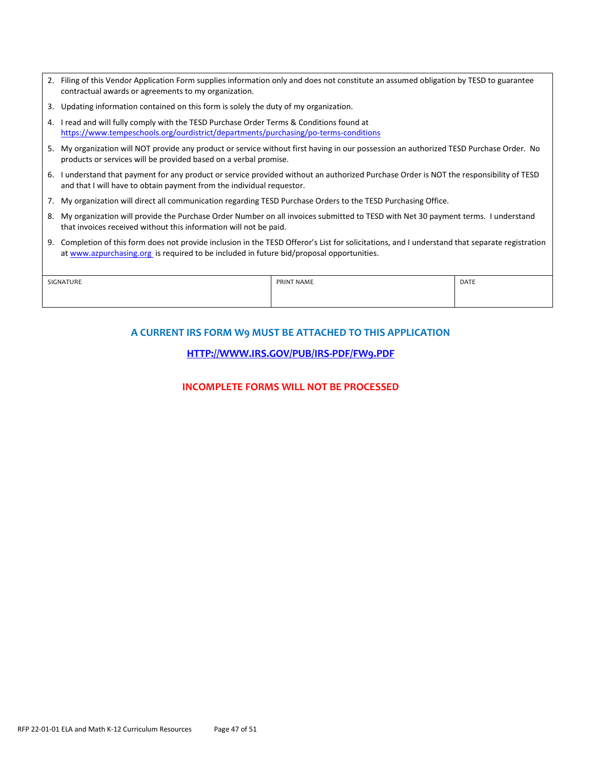- 2. Filing of this Vendor Application Form supplies information only and does not constitute an assumed obligation by TESD to guarantee contractual awards or agreements to my organization.
- 3. Updating information contained on this form is solely the duty of my organization.
- 4. I read and will fully comply with the TESD Purchase Order Terms & Conditions found at https://www.tempeschools.org/ourdistrict/departments/purchasing/po-terms-conditions
- 5. My organization will NOT provide any product or service without first having in our possession an authorized TESD Purchase Order. No products or services will be provided based on a verbal promise.
- 6. I understand that payment for any product or service provided without an authorized Purchase Order is NOT the responsibility of TESD and that I will have to obtain payment from the individual requestor.
- 7. My organization will direct all communication regarding TESD Purchase Orders to the TESD Purchasing Office.
- 8. My organization will provide the Purchase Order Number on all invoices submitted to TESD with Net 30 payment terms. I understand that invoices received without this information will not be paid.
- 9. Completion of this form does not provide inclusion in the TESD Offeror's List for solicitations, and I understand that separate registration at www.azpurchasing.org is required to be included in future bid/proposal opportunities.

| SIGNATURE | PRINT NAME | DATE |
|-----------|------------|------|
|           |            |      |
|           |            |      |

# **A CURRENT IRS FORM W9 MUST BE ATTACHED TO THIS APPLICATION**

# **HTTP://WWW.IRS.GOV/PUB/IRS‐PDF/FW9.PDF**

# **INCOMPLETE FORMS WILL NOT BE PROCESSED**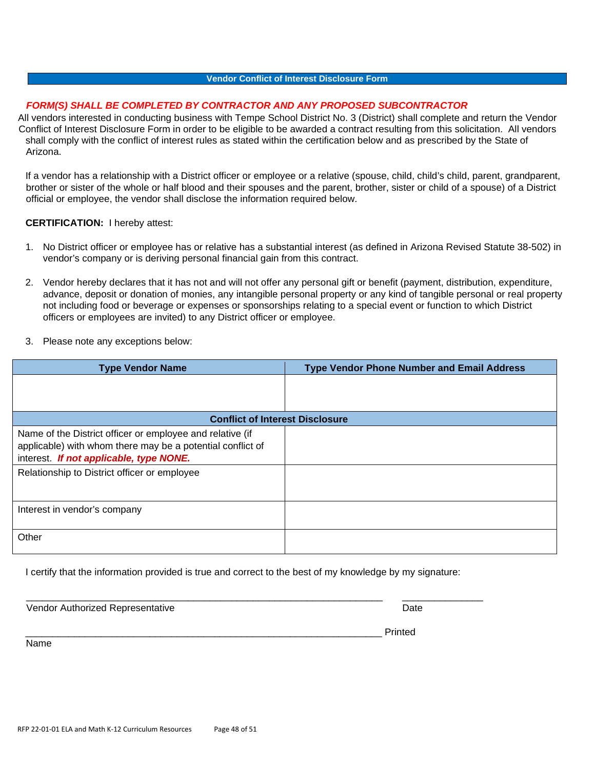#### **Vendor Conflict of Interest Disclosure Form**

### *FORM(S) SHALL BE COMPLETED BY CONTRACTOR AND ANY PROPOSED SUBCONTRACTOR*

All vendors interested in conducting business with Tempe School District No. 3 (District) shall complete and return the Vendor Conflict of Interest Disclosure Form in order to be eligible to be awarded a contract resulting from this solicitation. All vendors shall comply with the conflict of interest rules as stated within the certification below and as prescribed by the State of Arizona.

If a vendor has a relationship with a District officer or employee or a relative (spouse, child, child's child, parent, grandparent, brother or sister of the whole or half blood and their spouses and the parent, brother, sister or child of a spouse) of a District official or employee, the vendor shall disclose the information required below.

#### **CERTIFICATION:** I hereby attest:

- 1. No District officer or employee has or relative has a substantial interest (as defined in Arizona Revised Statute 38-502) in vendor's company or is deriving personal financial gain from this contract.
- 2. Vendor hereby declares that it has not and will not offer any personal gift or benefit (payment, distribution, expenditure, advance, deposit or donation of monies, any intangible personal property or any kind of tangible personal or real property not including food or beverage or expenses or sponsorships relating to a special event or function to which District officers or employees are invited) to any District officer or employee.
- 3. Please note any exceptions below:

| <b>Type Vendor Name</b>                                                                                                                                                                                            | <b>Type Vendor Phone Number and Email Address</b> |
|--------------------------------------------------------------------------------------------------------------------------------------------------------------------------------------------------------------------|---------------------------------------------------|
|                                                                                                                                                                                                                    |                                                   |
| <b>Conflict of Interest Disclosure</b>                                                                                                                                                                             |                                                   |
| Name of the District officer or employee and relative (if<br>applicable) with whom there may be a potential conflict of<br>interest. If not applicable, type NONE.<br>Relationship to District officer or employee |                                                   |
| Interest in vendor's company                                                                                                                                                                                       |                                                   |
| Other                                                                                                                                                                                                              |                                                   |

I certify that the information provided is true and correct to the best of my knowledge by my signature:

| Vendor Authorized Representative | Date    |
|----------------------------------|---------|
| $\sim$                           | Printed |

Name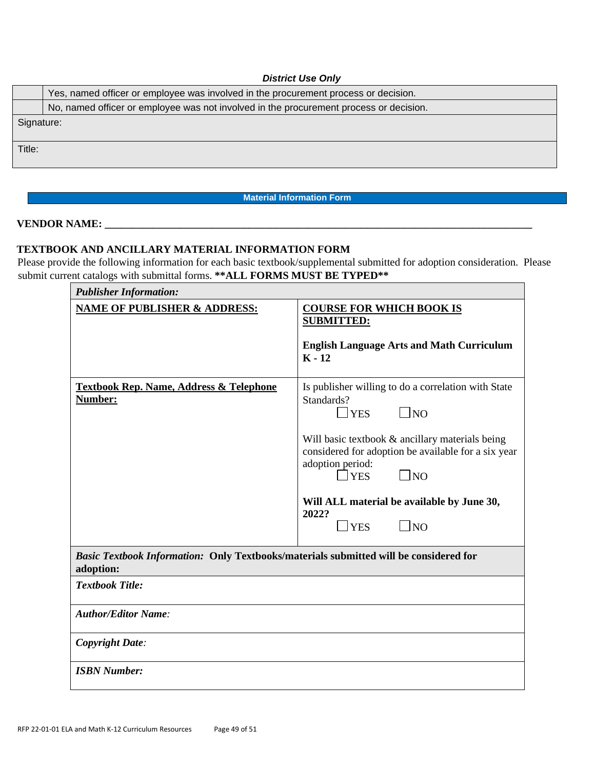# *District Use Only*

|            | Yes, named officer or employee was involved in the procurement process or decision.    |  |  |
|------------|----------------------------------------------------------------------------------------|--|--|
|            | No, named officer or employee was not involved in the procurement process or decision. |  |  |
| Signature: |                                                                                        |  |  |
| Title:     |                                                                                        |  |  |
|            |                                                                                        |  |  |

# **Material Information Form**

# **VENDOR NAME: \_\_\_\_\_\_\_\_\_\_\_\_\_\_\_\_\_\_\_\_\_\_\_\_\_\_\_\_\_\_\_\_\_\_\_\_\_\_\_\_\_\_\_\_\_\_\_\_\_\_\_\_\_\_\_\_\_\_\_\_\_\_\_\_\_\_\_\_\_\_\_\_\_\_\_\_\_\_\_\_**

# **TEXTBOOK AND ANCILLARY MATERIAL INFORMATION FORM**

Please provide the following information for each basic textbook/supplemental submitted for adoption consideration. Please submit current catalogs with submittal forms. **\*\*ALL FORMS MUST BE TYPED\*\*** 

| <b>Publisher Information:</b>                                                                             |                                                                                                                                                                                                                                                                                                                                          |  |  |
|-----------------------------------------------------------------------------------------------------------|------------------------------------------------------------------------------------------------------------------------------------------------------------------------------------------------------------------------------------------------------------------------------------------------------------------------------------------|--|--|
| <b>NAME OF PUBLISHER &amp; ADDRESS:</b>                                                                   | <b>COURSE FOR WHICH BOOK IS</b><br><b>SUBMITTED:</b><br><b>English Language Arts and Math Curriculum</b><br>$K - 12$                                                                                                                                                                                                                     |  |  |
| <b>Textbook Rep. Name, Address &amp; Telephone</b><br>Number:                                             | Is publisher willing to do a correlation with State<br>Standards?<br>$\Box$ NO<br>YES<br>Will basic textbook & ancillary materials being<br>considered for adoption be available for a six year<br>adoption period:<br>$\Box$ YES<br>$\Box$ NO<br>Will ALL material be available by June 30,<br>2022?<br>$\Box$ NO<br>$\blacksquare$ YES |  |  |
| <b>Basic Textbook Information: Only Textbooks/materials submitted will be considered for</b><br>adoption: |                                                                                                                                                                                                                                                                                                                                          |  |  |
| <b>Textbook Title:</b>                                                                                    |                                                                                                                                                                                                                                                                                                                                          |  |  |
| <b>Author/Editor Name:</b>                                                                                |                                                                                                                                                                                                                                                                                                                                          |  |  |
| <b>Copyright Date:</b>                                                                                    |                                                                                                                                                                                                                                                                                                                                          |  |  |
| <b>ISBN Number:</b>                                                                                       |                                                                                                                                                                                                                                                                                                                                          |  |  |